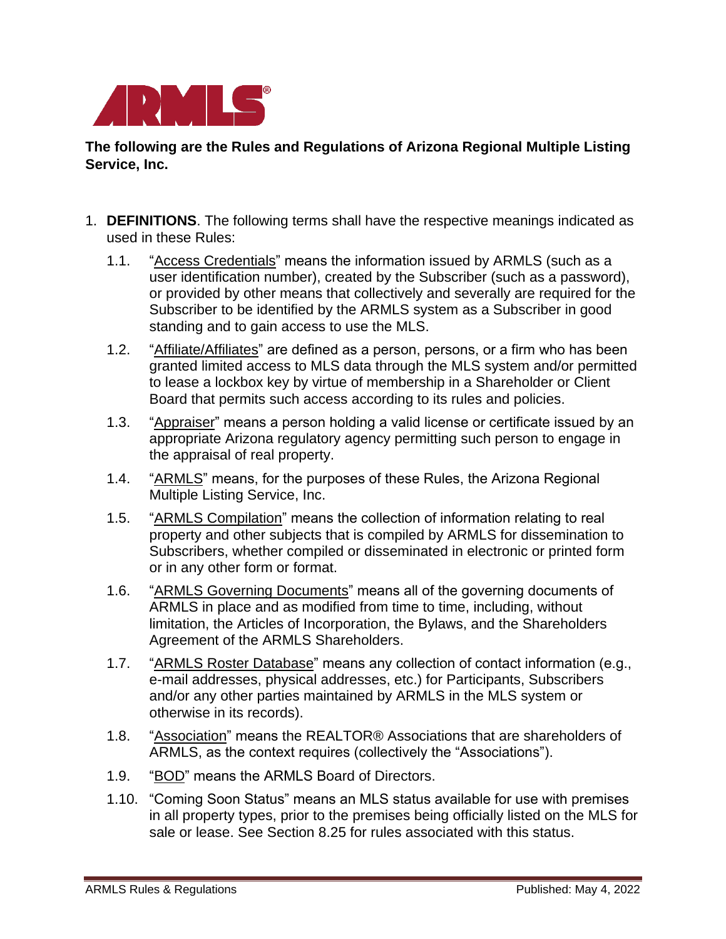

**The following are the Rules and Regulations of Arizona Regional Multiple Listing Service, Inc.**

- 1. **DEFINITIONS**. The following terms shall have the respective meanings indicated as used in these Rules:
	- 1.1. "Access Credentials" means the information issued by ARMLS (such as a user identification number), created by the Subscriber (such as a password), or provided by other means that collectively and severally are required for the Subscriber to be identified by the ARMLS system as a Subscriber in good standing and to gain access to use the MLS.
	- 1.2. "Affiliate/Affiliates" are defined as a person, persons, or a firm who has been granted limited access to MLS data through the MLS system and/or permitted to lease a lockbox key by virtue of membership in a Shareholder or Client Board that permits such access according to its rules and policies.
	- 1.3. "Appraiser" means a person holding a valid license or certificate issued by an appropriate Arizona regulatory agency permitting such person to engage in the appraisal of real property.
	- 1.4. "ARMLS" means, for the purposes of these Rules, the Arizona Regional Multiple Listing Service, Inc.
	- 1.5. "ARMLS Compilation" means the collection of information relating to real property and other subjects that is compiled by ARMLS for dissemination to Subscribers, whether compiled or disseminated in electronic or printed form or in any other form or format.
	- 1.6. "ARMLS Governing Documents" means all of the governing documents of ARMLS in place and as modified from time to time, including, without limitation, the Articles of Incorporation, the Bylaws, and the Shareholders Agreement of the ARMLS Shareholders.
	- 1.7. "ARMLS Roster Database" means any collection of contact information (e.g., e-mail addresses, physical addresses, etc.) for Participants, Subscribers and/or any other parties maintained by ARMLS in the MLS system or otherwise in its records).
	- 1.8. "Association" means the REALTOR® Associations that are shareholders of ARMLS, as the context requires (collectively the "Associations").
	- 1.9. "BOD" means the ARMLS Board of Directors.
	- 1.10. "Coming Soon Status" means an MLS status available for use with premises in all property types, prior to the premises being officially listed on the MLS for sale or lease. See Section 8.25 for rules associated with this status.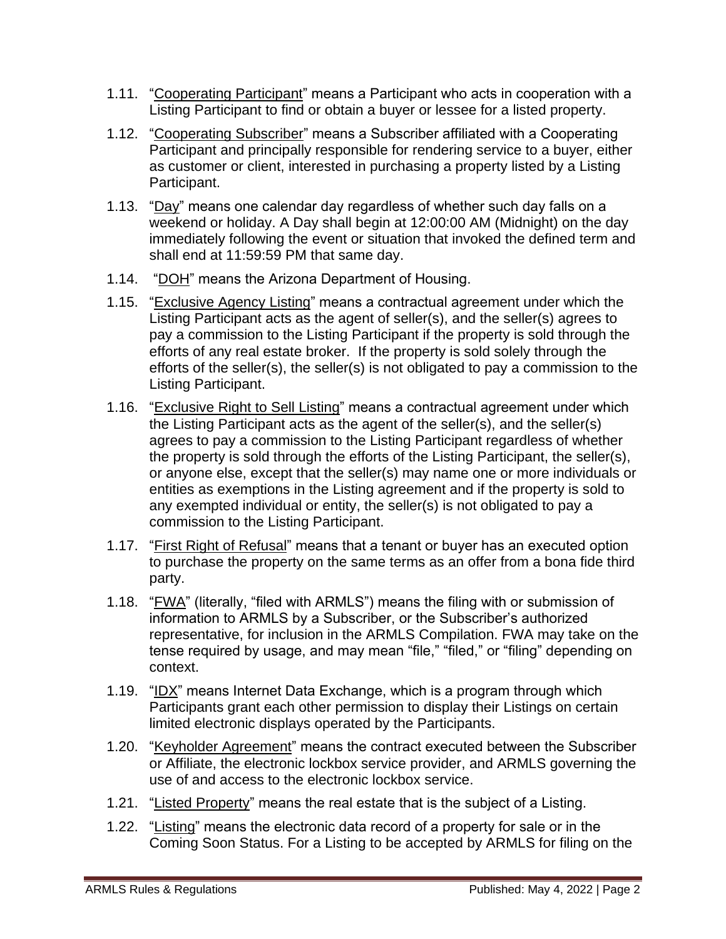- 1.11. "Cooperating Participant" means a Participant who acts in cooperation with a Listing Participant to find or obtain a buyer or lessee for a listed property.
- 1.12. "Cooperating Subscriber" means a Subscriber affiliated with a Cooperating Participant and principally responsible for rendering service to a buyer, either as customer or client, interested in purchasing a property listed by a Listing Participant.
- 1.13. "Day" means one calendar day regardless of whether such day falls on a weekend or holiday. A Day shall begin at 12:00:00 AM (Midnight) on the day immediately following the event or situation that invoked the defined term and shall end at 11:59:59 PM that same day.
- 1.14. "DOH" means the Arizona Department of Housing.
- 1.15. "Exclusive Agency Listing" means a contractual agreement under which the Listing Participant acts as the agent of seller(s), and the seller(s) agrees to pay a commission to the Listing Participant if the property is sold through the efforts of any real estate broker. If the property is sold solely through the efforts of the seller(s), the seller(s) is not obligated to pay a commission to the Listing Participant.
- 1.16. "Exclusive Right to Sell Listing" means a contractual agreement under which the Listing Participant acts as the agent of the seller(s), and the seller(s) agrees to pay a commission to the Listing Participant regardless of whether the property is sold through the efforts of the Listing Participant, the seller(s), or anyone else, except that the seller(s) may name one or more individuals or entities as exemptions in the Listing agreement and if the property is sold to any exempted individual or entity, the seller(s) is not obligated to pay a commission to the Listing Participant.
- 1.17. "First Right of Refusal" means that a tenant or buyer has an executed option to purchase the property on the same terms as an offer from a bona fide third party.
- 1.18. "FWA" (literally, "filed with ARMLS") means the filing with or submission of information to ARMLS by a Subscriber, or the Subscriber's authorized representative, for inclusion in the ARMLS Compilation. FWA may take on the tense required by usage, and may mean "file," "filed," or "filing" depending on context.
- 1.19. "IDX" means Internet Data Exchange, which is a program through which Participants grant each other permission to display their Listings on certain limited electronic displays operated by the Participants.
- 1.20. "Keyholder Agreement" means the contract executed between the Subscriber or Affiliate, the electronic lockbox service provider, and ARMLS governing the use of and access to the electronic lockbox service.
- 1.21. "Listed Property" means the real estate that is the subject of a Listing.
- 1.22. "Listing" means the electronic data record of a property for sale or in the Coming Soon Status. For a Listing to be accepted by ARMLS for filing on the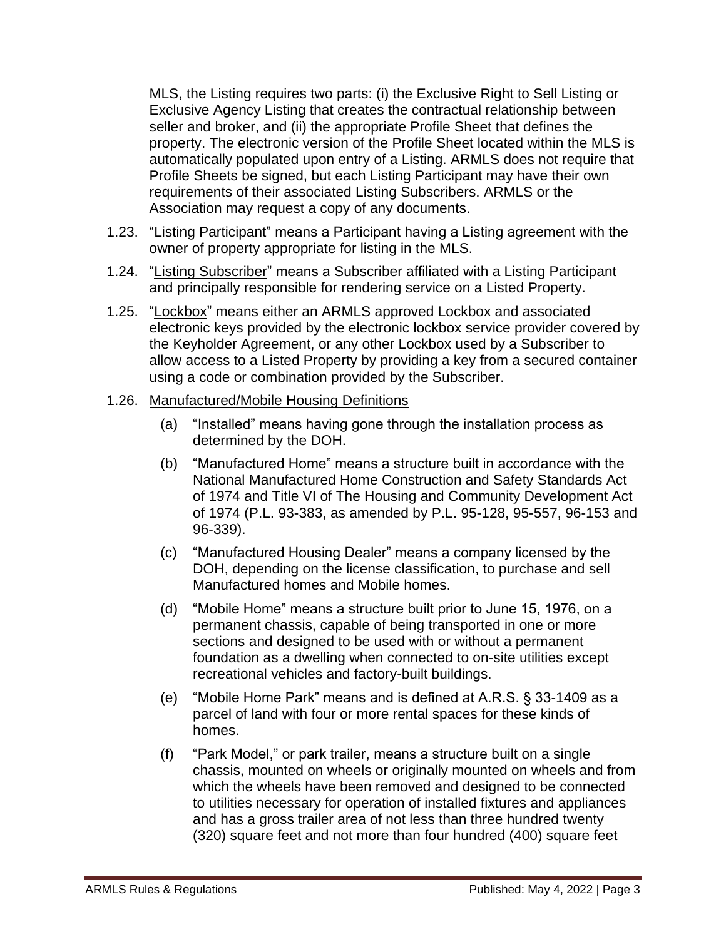MLS, the Listing requires two parts: (i) the Exclusive Right to Sell Listing or Exclusive Agency Listing that creates the contractual relationship between seller and broker, and (ii) the appropriate Profile Sheet that defines the property. The electronic version of the Profile Sheet located within the MLS is automatically populated upon entry of a Listing. ARMLS does not require that Profile Sheets be signed, but each Listing Participant may have their own requirements of their associated Listing Subscribers. ARMLS or the Association may request a copy of any documents.

- 1.23. "Listing Participant" means a Participant having a Listing agreement with the owner of property appropriate for listing in the MLS.
- 1.24. "Listing Subscriber" means a Subscriber affiliated with a Listing Participant and principally responsible for rendering service on a Listed Property.
- 1.25. "Lockbox" means either an ARMLS approved Lockbox and associated electronic keys provided by the electronic lockbox service provider covered by the Keyholder Agreement, or any other Lockbox used by a Subscriber to allow access to a Listed Property by providing a key from a secured container using a code or combination provided by the Subscriber.

#### 1.26. Manufactured/Mobile Housing Definitions

- (a) "Installed" means having gone through the installation process as determined by the DOH.
- (b) "Manufactured Home" means a structure built in accordance with the National Manufactured Home Construction and Safety Standards Act of 1974 and Title VI of The Housing and Community Development Act of 1974 (P.L. 93-383, as amended by P.L. 95-128, 95-557, 96-153 and 96-339).
- (c) "Manufactured Housing Dealer" means a company licensed by the DOH, depending on the license classification, to purchase and sell Manufactured homes and Mobile homes.
- (d) "Mobile Home" means a structure built prior to June 15, 1976, on a permanent chassis, capable of being transported in one or more sections and designed to be used with or without a permanent foundation as a dwelling when connected to on-site utilities except recreational vehicles and factory-built buildings.
- (e) "Mobile Home Park" means and is defined at A.R.S. § 33-1409 as a parcel of land with four or more rental spaces for these kinds of homes.
- (f) "Park Model," or park trailer, means a structure built on a single chassis, mounted on wheels or originally mounted on wheels and from which the wheels have been removed and designed to be connected to utilities necessary for operation of installed fixtures and appliances and has a gross trailer area of not less than three hundred twenty (320) square feet and not more than four hundred (400) square feet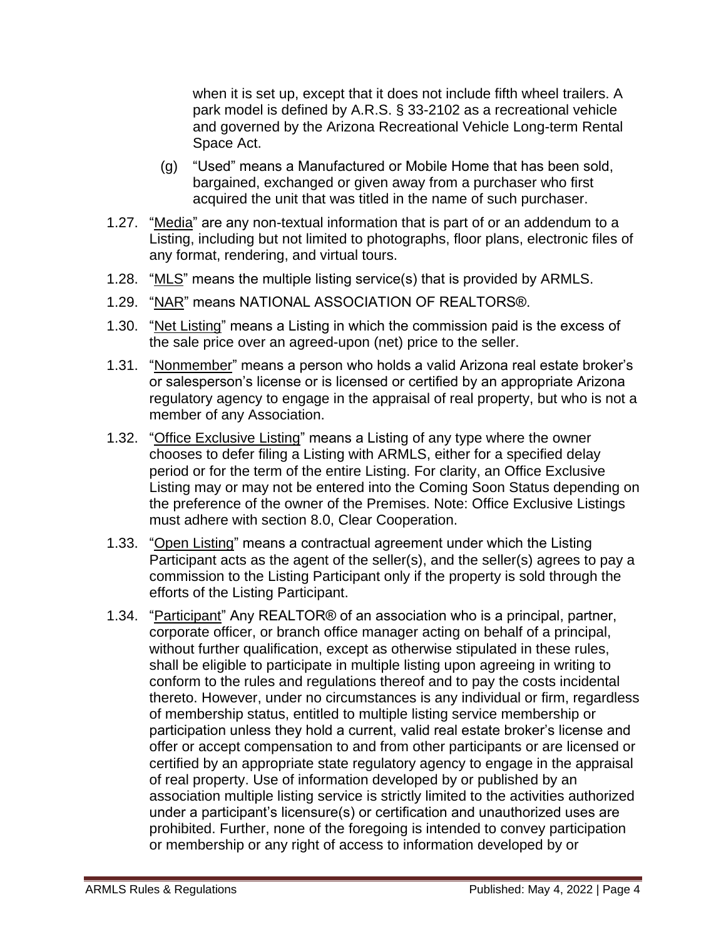when it is set up, except that it does not include fifth wheel trailers. A park model is defined by A.R.S. § 33-2102 as a recreational vehicle and governed by the Arizona Recreational Vehicle Long-term Rental Space Act.

- (g) "Used" means a Manufactured or Mobile Home that has been sold, bargained, exchanged or given away from a purchaser who first acquired the unit that was titled in the name of such purchaser.
- 1.27. "Media" are any non-textual information that is part of or an addendum to a Listing, including but not limited to photographs, floor plans, electronic files of any format, rendering, and virtual tours.
- 1.28. "MLS" means the multiple listing service(s) that is provided by ARMLS.
- 1.29. "NAR" means NATIONAL ASSOCIATION OF REALTORS®.
- 1.30. "Net Listing" means a Listing in which the commission paid is the excess of the sale price over an agreed-upon (net) price to the seller.
- 1.31. "Nonmember" means a person who holds a valid Arizona real estate broker's or salesperson's license or is licensed or certified by an appropriate Arizona regulatory agency to engage in the appraisal of real property, but who is not a member of any Association.
- 1.32. "Office Exclusive Listing" means a Listing of any type where the owner chooses to defer filing a Listing with ARMLS, either for a specified delay period or for the term of the entire Listing. For clarity, an Office Exclusive Listing may or may not be entered into the Coming Soon Status depending on the preference of the owner of the Premises. Note: Office Exclusive Listings must adhere with section 8.0, Clear Cooperation.
- 1.33. "Open Listing" means a contractual agreement under which the Listing Participant acts as the agent of the seller(s), and the seller(s) agrees to pay a commission to the Listing Participant only if the property is sold through the efforts of the Listing Participant.
- 1.34. "Participant" Any REALTOR® of an association who is a principal, partner, corporate officer, or branch office manager acting on behalf of a principal, without further qualification, except as otherwise stipulated in these rules, shall be eligible to participate in multiple listing upon agreeing in writing to conform to the rules and regulations thereof and to pay the costs incidental thereto. However, under no circumstances is any individual or firm, regardless of membership status, entitled to multiple listing service membership or participation unless they hold a current, valid real estate broker's license and offer or accept compensation to and from other participants or are licensed or certified by an appropriate state regulatory agency to engage in the appraisal of real property. Use of information developed by or published by an association multiple listing service is strictly limited to the activities authorized under a participant's licensure(s) or certification and unauthorized uses are prohibited. Further, none of the foregoing is intended to convey participation or membership or any right of access to information developed by or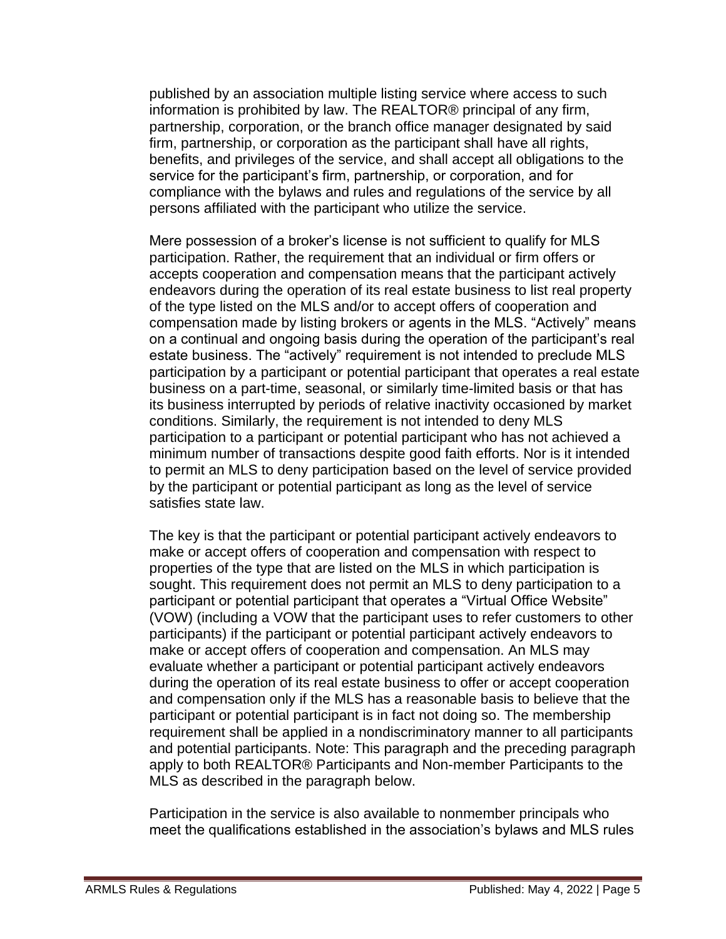published by an association multiple listing service where access to such information is prohibited by law. The REALTOR® principal of any firm, partnership, corporation, or the branch office manager designated by said firm, partnership, or corporation as the participant shall have all rights, benefits, and privileges of the service, and shall accept all obligations to the service for the participant's firm, partnership, or corporation, and for compliance with the bylaws and rules and regulations of the service by all persons affiliated with the participant who utilize the service.

Mere possession of a broker's license is not sufficient to qualify for MLS participation. Rather, the requirement that an individual or firm offers or accepts cooperation and compensation means that the participant actively endeavors during the operation of its real estate business to list real property of the type listed on the MLS and/or to accept offers of cooperation and compensation made by listing brokers or agents in the MLS. "Actively" means on a continual and ongoing basis during the operation of the participant's real estate business. The "actively" requirement is not intended to preclude MLS participation by a participant or potential participant that operates a real estate business on a part-time, seasonal, or similarly time-limited basis or that has its business interrupted by periods of relative inactivity occasioned by market conditions. Similarly, the requirement is not intended to deny MLS participation to a participant or potential participant who has not achieved a minimum number of transactions despite good faith efforts. Nor is it intended to permit an MLS to deny participation based on the level of service provided by the participant or potential participant as long as the level of service satisfies state law.

The key is that the participant or potential participant actively endeavors to make or accept offers of cooperation and compensation with respect to properties of the type that are listed on the MLS in which participation is sought. This requirement does not permit an MLS to deny participation to a participant or potential participant that operates a "Virtual Office Website" (VOW) (including a VOW that the participant uses to refer customers to other participants) if the participant or potential participant actively endeavors to make or accept offers of cooperation and compensation. An MLS may evaluate whether a participant or potential participant actively endeavors during the operation of its real estate business to offer or accept cooperation and compensation only if the MLS has a reasonable basis to believe that the participant or potential participant is in fact not doing so. The membership requirement shall be applied in a nondiscriminatory manner to all participants and potential participants. Note: This paragraph and the preceding paragraph apply to both REALTOR® Participants and Non-member Participants to the MLS as described in the paragraph below.

Participation in the service is also available to nonmember principals who meet the qualifications established in the association's bylaws and MLS rules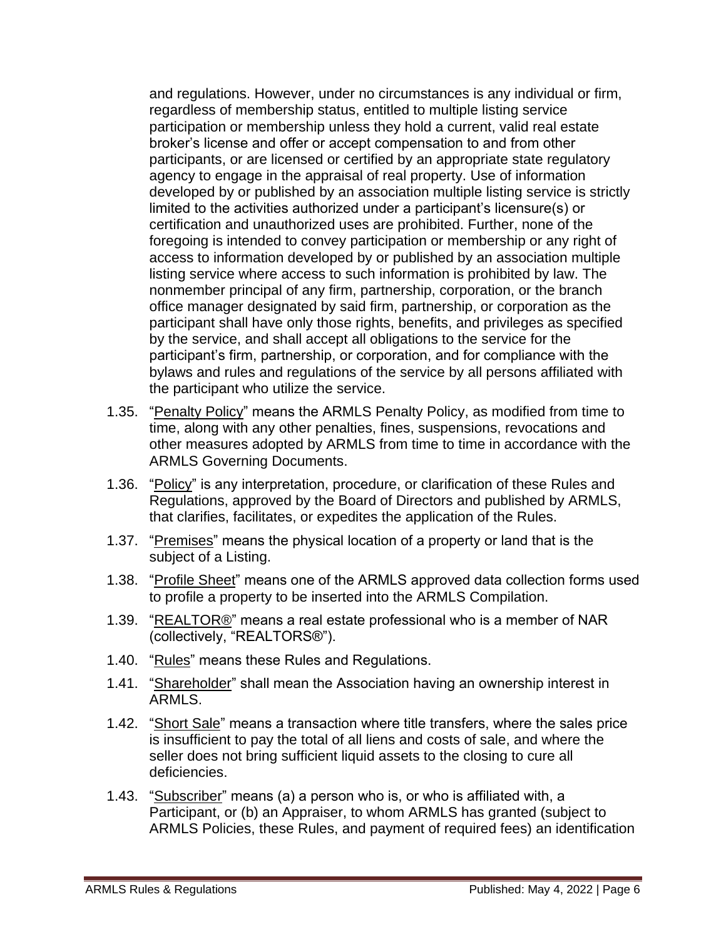and regulations. However, under no circumstances is any individual or firm, regardless of membership status, entitled to multiple listing service participation or membership unless they hold a current, valid real estate broker's license and offer or accept compensation to and from other participants, or are licensed or certified by an appropriate state regulatory agency to engage in the appraisal of real property. Use of information developed by or published by an association multiple listing service is strictly limited to the activities authorized under a participant's licensure(s) or certification and unauthorized uses are prohibited. Further, none of the foregoing is intended to convey participation or membership or any right of access to information developed by or published by an association multiple listing service where access to such information is prohibited by law. The nonmember principal of any firm, partnership, corporation, or the branch office manager designated by said firm, partnership, or corporation as the participant shall have only those rights, benefits, and privileges as specified by the service, and shall accept all obligations to the service for the participant's firm, partnership, or corporation, and for compliance with the bylaws and rules and regulations of the service by all persons affiliated with the participant who utilize the service.

- 1.35. "Penalty Policy" means the ARMLS Penalty Policy, as modified from time to time, along with any other penalties, fines, suspensions, revocations and other measures adopted by ARMLS from time to time in accordance with the ARMLS Governing Documents.
- 1.36. "Policy" is any interpretation, procedure, or clarification of these Rules and Regulations, approved by the Board of Directors and published by ARMLS, that clarifies, facilitates, or expedites the application of the Rules.
- 1.37. "Premises" means the physical location of a property or land that is the subject of a Listing.
- 1.38. "Profile Sheet" means one of the ARMLS approved data collection forms used to profile a property to be inserted into the ARMLS Compilation.
- 1.39. "REALTOR®" means a real estate professional who is a member of NAR (collectively, "REALTORS®").
- 1.40. "Rules" means these Rules and Regulations.
- 1.41. "Shareholder" shall mean the Association having an ownership interest in ARMLS.
- 1.42. "Short Sale" means a transaction where title transfers, where the sales price is insufficient to pay the total of all liens and costs of sale, and where the seller does not bring sufficient liquid assets to the closing to cure all deficiencies.
- 1.43. "Subscriber" means (a) a person who is, or who is affiliated with, a Participant, or (b) an Appraiser, to whom ARMLS has granted (subject to ARMLS Policies, these Rules, and payment of required fees) an identification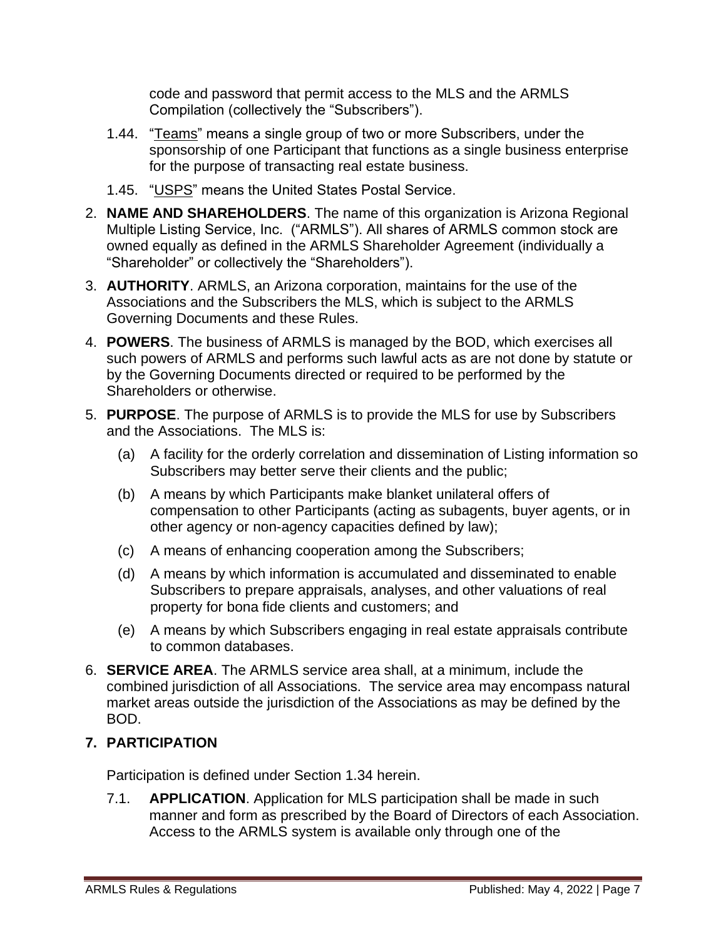code and password that permit access to the MLS and the ARMLS Compilation (collectively the "Subscribers").

- 1.44. "Teams" means a single group of two or more Subscribers, under the sponsorship of one Participant that functions as a single business enterprise for the purpose of transacting real estate business.
- 1.45. "USPS" means the United States Postal Service.
- 2. **NAME AND SHAREHOLDERS**. The name of this organization is Arizona Regional Multiple Listing Service, Inc. ("ARMLS"). All shares of ARMLS common stock are owned equally as defined in the ARMLS Shareholder Agreement (individually a "Shareholder" or collectively the "Shareholders").
- 3. **AUTHORITY**. ARMLS, an Arizona corporation, maintains for the use of the Associations and the Subscribers the MLS, which is subject to the ARMLS Governing Documents and these Rules.
- 4. **POWERS**. The business of ARMLS is managed by the BOD, which exercises all such powers of ARMLS and performs such lawful acts as are not done by statute or by the Governing Documents directed or required to be performed by the Shareholders or otherwise.
- 5. **PURPOSE**. The purpose of ARMLS is to provide the MLS for use by Subscribers and the Associations. The MLS is:
	- (a) A facility for the orderly correlation and dissemination of Listing information so Subscribers may better serve their clients and the public;
	- (b) A means by which Participants make blanket unilateral offers of compensation to other Participants (acting as subagents, buyer agents, or in other agency or non-agency capacities defined by law);
	- (c) A means of enhancing cooperation among the Subscribers;
	- (d) A means by which information is accumulated and disseminated to enable Subscribers to prepare appraisals, analyses, and other valuations of real property for bona fide clients and customers; and
	- (e) A means by which Subscribers engaging in real estate appraisals contribute to common databases.
- 6. **SERVICE AREA**. The ARMLS service area shall, at a minimum, include the combined jurisdiction of all Associations. The service area may encompass natural market areas outside the jurisdiction of the Associations as may be defined by the BOD.

# **7. PARTICIPATION**

Participation is defined under Section 1.34 herein.

7.1. **APPLICATION**. Application for MLS participation shall be made in such manner and form as prescribed by the Board of Directors of each Association. Access to the ARMLS system is available only through one of the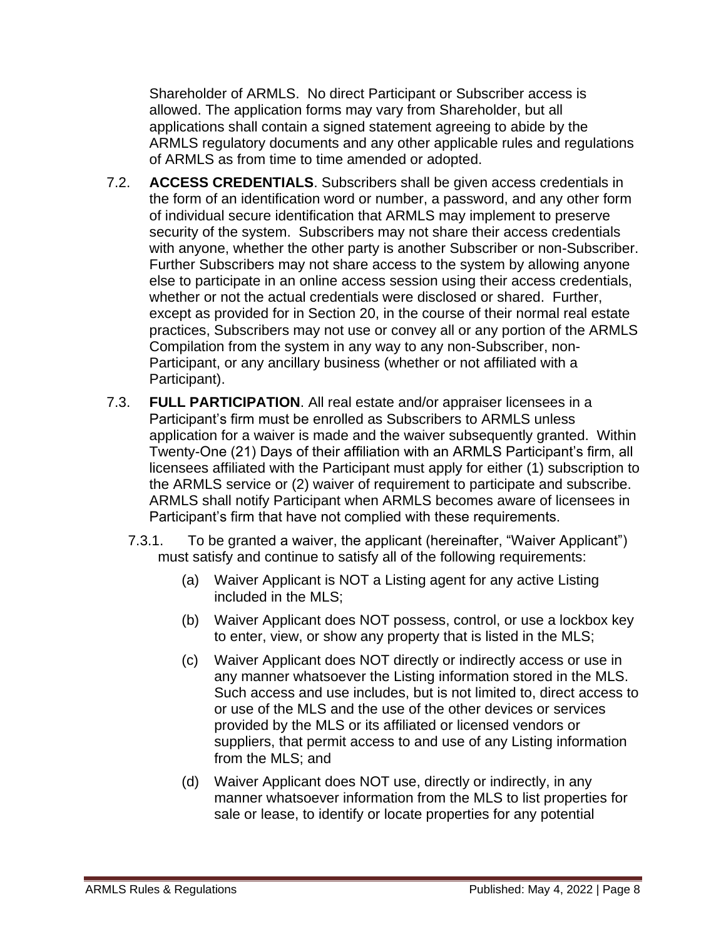Shareholder of ARMLS. No direct Participant or Subscriber access is allowed. The application forms may vary from Shareholder, but all applications shall contain a signed statement agreeing to abide by the ARMLS regulatory documents and any other applicable rules and regulations of ARMLS as from time to time amended or adopted.

- 7.2. **ACCESS CREDENTIALS**. Subscribers shall be given access credentials in the form of an identification word or number, a password, and any other form of individual secure identification that ARMLS may implement to preserve security of the system. Subscribers may not share their access credentials with anyone, whether the other party is another Subscriber or non-Subscriber. Further Subscribers may not share access to the system by allowing anyone else to participate in an online access session using their access credentials, whether or not the actual credentials were disclosed or shared. Further, except as provided for in Section 20, in the course of their normal real estate practices, Subscribers may not use or convey all or any portion of the ARMLS Compilation from the system in any way to any non-Subscriber, non-Participant, or any ancillary business (whether or not affiliated with a Participant).
- 7.3. **FULL PARTICIPATION**. All real estate and/or appraiser licensees in a Participant's firm must be enrolled as Subscribers to ARMLS unless application for a waiver is made and the waiver subsequently granted. Within Twenty-One (21) Days of their affiliation with an ARMLS Participant's firm, all licensees affiliated with the Participant must apply for either (1) subscription to the ARMLS service or (2) waiver of requirement to participate and subscribe. ARMLS shall notify Participant when ARMLS becomes aware of licensees in Participant's firm that have not complied with these requirements.
	- 7.3.1. To be granted a waiver, the applicant (hereinafter, "Waiver Applicant") must satisfy and continue to satisfy all of the following requirements:
		- (a) Waiver Applicant is NOT a Listing agent for any active Listing included in the MLS;
		- (b) Waiver Applicant does NOT possess, control, or use a lockbox key to enter, view, or show any property that is listed in the MLS;
		- (c) Waiver Applicant does NOT directly or indirectly access or use in any manner whatsoever the Listing information stored in the MLS. Such access and use includes, but is not limited to, direct access to or use of the MLS and the use of the other devices or services provided by the MLS or its affiliated or licensed vendors or suppliers, that permit access to and use of any Listing information from the MLS; and
		- (d) Waiver Applicant does NOT use, directly or indirectly, in any manner whatsoever information from the MLS to list properties for sale or lease, to identify or locate properties for any potential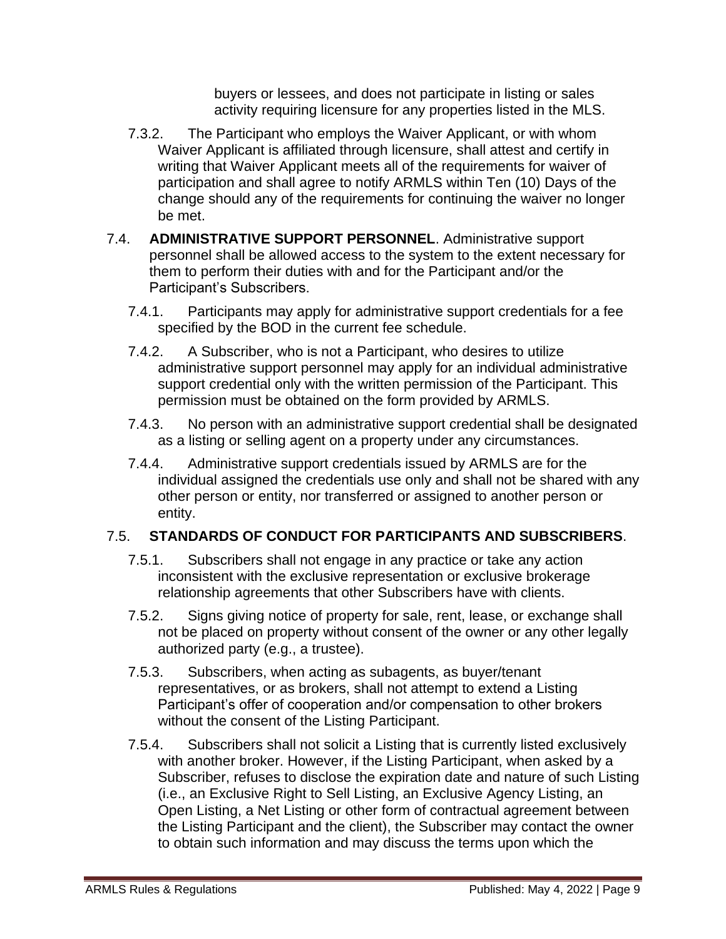buyers or lessees, and does not participate in listing or sales activity requiring licensure for any properties listed in the MLS.

- 7.3.2. The Participant who employs the Waiver Applicant, or with whom Waiver Applicant is affiliated through licensure, shall attest and certify in writing that Waiver Applicant meets all of the requirements for waiver of participation and shall agree to notify ARMLS within Ten (10) Days of the change should any of the requirements for continuing the waiver no longer be met.
- 7.4. **ADMINISTRATIVE SUPPORT PERSONNEL**. Administrative support personnel shall be allowed access to the system to the extent necessary for them to perform their duties with and for the Participant and/or the Participant's Subscribers.
	- 7.4.1. Participants may apply for administrative support credentials for a fee specified by the BOD in the current fee schedule.
	- 7.4.2. A Subscriber, who is not a Participant, who desires to utilize administrative support personnel may apply for an individual administrative support credential only with the written permission of the Participant. This permission must be obtained on the form provided by ARMLS.
	- 7.4.3. No person with an administrative support credential shall be designated as a listing or selling agent on a property under any circumstances.
	- 7.4.4. Administrative support credentials issued by ARMLS are for the individual assigned the credentials use only and shall not be shared with any other person or entity, nor transferred or assigned to another person or entity.

#### 7.5. **STANDARDS OF CONDUCT FOR PARTICIPANTS AND SUBSCRIBERS**.

- 7.5.1. Subscribers shall not engage in any practice or take any action inconsistent with the exclusive representation or exclusive brokerage relationship agreements that other Subscribers have with clients.
- 7.5.2. Signs giving notice of property for sale, rent, lease, or exchange shall not be placed on property without consent of the owner or any other legally authorized party (e.g., a trustee).
- 7.5.3. Subscribers, when acting as subagents, as buyer/tenant representatives, or as brokers, shall not attempt to extend a Listing Participant's offer of cooperation and/or compensation to other brokers without the consent of the Listing Participant.
- 7.5.4. Subscribers shall not solicit a Listing that is currently listed exclusively with another broker. However, if the Listing Participant, when asked by a Subscriber, refuses to disclose the expiration date and nature of such Listing (i.e., an Exclusive Right to Sell Listing, an Exclusive Agency Listing, an Open Listing, a Net Listing or other form of contractual agreement between the Listing Participant and the client), the Subscriber may contact the owner to obtain such information and may discuss the terms upon which the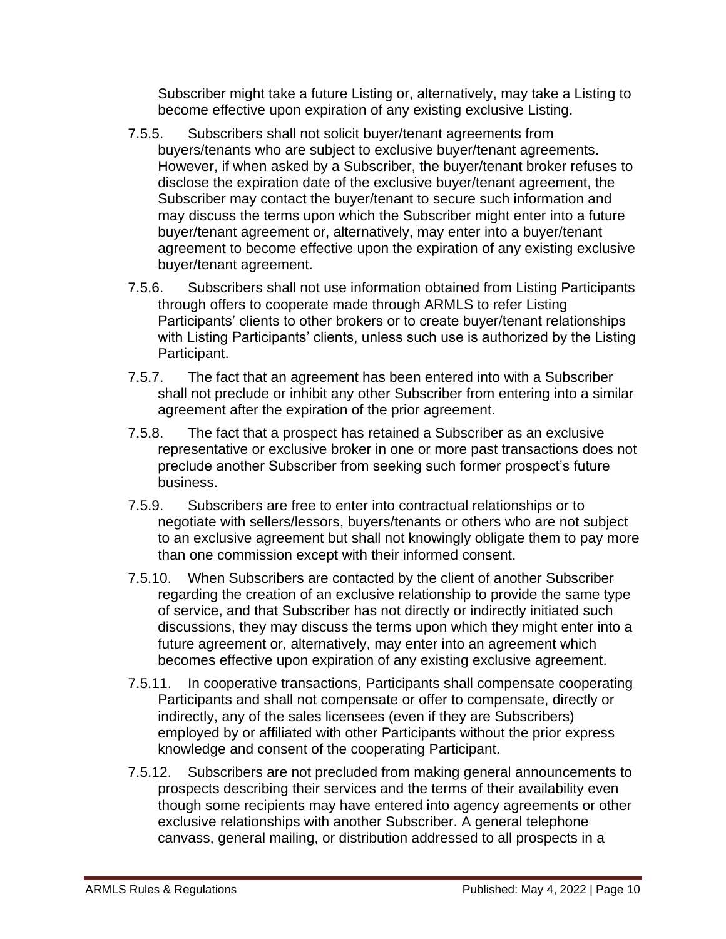Subscriber might take a future Listing or, alternatively, may take a Listing to become effective upon expiration of any existing exclusive Listing.

- 7.5.5. Subscribers shall not solicit buyer/tenant agreements from buyers/tenants who are subject to exclusive buyer/tenant agreements. However, if when asked by a Subscriber, the buyer/tenant broker refuses to disclose the expiration date of the exclusive buyer/tenant agreement, the Subscriber may contact the buyer/tenant to secure such information and may discuss the terms upon which the Subscriber might enter into a future buyer/tenant agreement or, alternatively, may enter into a buyer/tenant agreement to become effective upon the expiration of any existing exclusive buyer/tenant agreement.
- 7.5.6. Subscribers shall not use information obtained from Listing Participants through offers to cooperate made through ARMLS to refer Listing Participants' clients to other brokers or to create buyer/tenant relationships with Listing Participants' clients, unless such use is authorized by the Listing Participant.
- 7.5.7. The fact that an agreement has been entered into with a Subscriber shall not preclude or inhibit any other Subscriber from entering into a similar agreement after the expiration of the prior agreement.
- 7.5.8. The fact that a prospect has retained a Subscriber as an exclusive representative or exclusive broker in one or more past transactions does not preclude another Subscriber from seeking such former prospect's future business.
- 7.5.9. Subscribers are free to enter into contractual relationships or to negotiate with sellers/lessors, buyers/tenants or others who are not subject to an exclusive agreement but shall not knowingly obligate them to pay more than one commission except with their informed consent.
- 7.5.10. When Subscribers are contacted by the client of another Subscriber regarding the creation of an exclusive relationship to provide the same type of service, and that Subscriber has not directly or indirectly initiated such discussions, they may discuss the terms upon which they might enter into a future agreement or, alternatively, may enter into an agreement which becomes effective upon expiration of any existing exclusive agreement.
- 7.5.11. In cooperative transactions, Participants shall compensate cooperating Participants and shall not compensate or offer to compensate, directly or indirectly, any of the sales licensees (even if they are Subscribers) employed by or affiliated with other Participants without the prior express knowledge and consent of the cooperating Participant.
- 7.5.12. Subscribers are not precluded from making general announcements to prospects describing their services and the terms of their availability even though some recipients may have entered into agency agreements or other exclusive relationships with another Subscriber. A general telephone canvass, general mailing, or distribution addressed to all prospects in a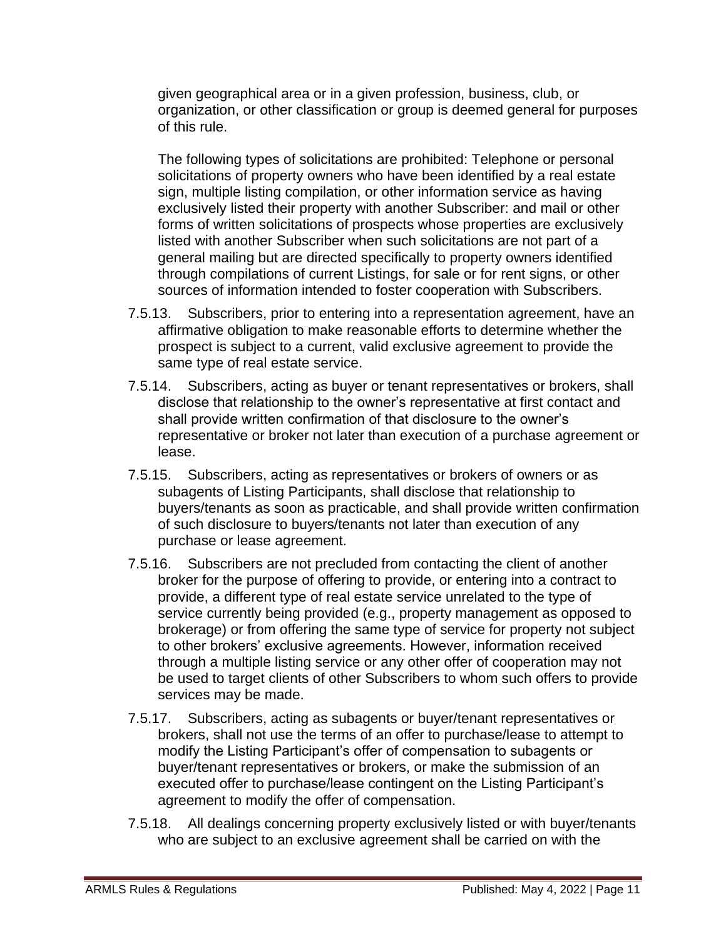given geographical area or in a given profession, business, club, or organization, or other classification or group is deemed general for purposes of this rule.

The following types of solicitations are prohibited: Telephone or personal solicitations of property owners who have been identified by a real estate sign, multiple listing compilation, or other information service as having exclusively listed their property with another Subscriber: and mail or other forms of written solicitations of prospects whose properties are exclusively listed with another Subscriber when such solicitations are not part of a general mailing but are directed specifically to property owners identified through compilations of current Listings, for sale or for rent signs, or other sources of information intended to foster cooperation with Subscribers.

- 7.5.13. Subscribers, prior to entering into a representation agreement, have an affirmative obligation to make reasonable efforts to determine whether the prospect is subject to a current, valid exclusive agreement to provide the same type of real estate service.
- 7.5.14. Subscribers, acting as buyer or tenant representatives or brokers, shall disclose that relationship to the owner's representative at first contact and shall provide written confirmation of that disclosure to the owner's representative or broker not later than execution of a purchase agreement or lease.
- 7.5.15. Subscribers, acting as representatives or brokers of owners or as subagents of Listing Participants, shall disclose that relationship to buyers/tenants as soon as practicable, and shall provide written confirmation of such disclosure to buyers/tenants not later than execution of any purchase or lease agreement.
- 7.5.16. Subscribers are not precluded from contacting the client of another broker for the purpose of offering to provide, or entering into a contract to provide, a different type of real estate service unrelated to the type of service currently being provided (e.g., property management as opposed to brokerage) or from offering the same type of service for property not subject to other brokers' exclusive agreements. However, information received through a multiple listing service or any other offer of cooperation may not be used to target clients of other Subscribers to whom such offers to provide services may be made.
- 7.5.17. Subscribers, acting as subagents or buyer/tenant representatives or brokers, shall not use the terms of an offer to purchase/lease to attempt to modify the Listing Participant's offer of compensation to subagents or buyer/tenant representatives or brokers, or make the submission of an executed offer to purchase/lease contingent on the Listing Participant's agreement to modify the offer of compensation.
- 7.5.18. All dealings concerning property exclusively listed or with buyer/tenants who are subject to an exclusive agreement shall be carried on with the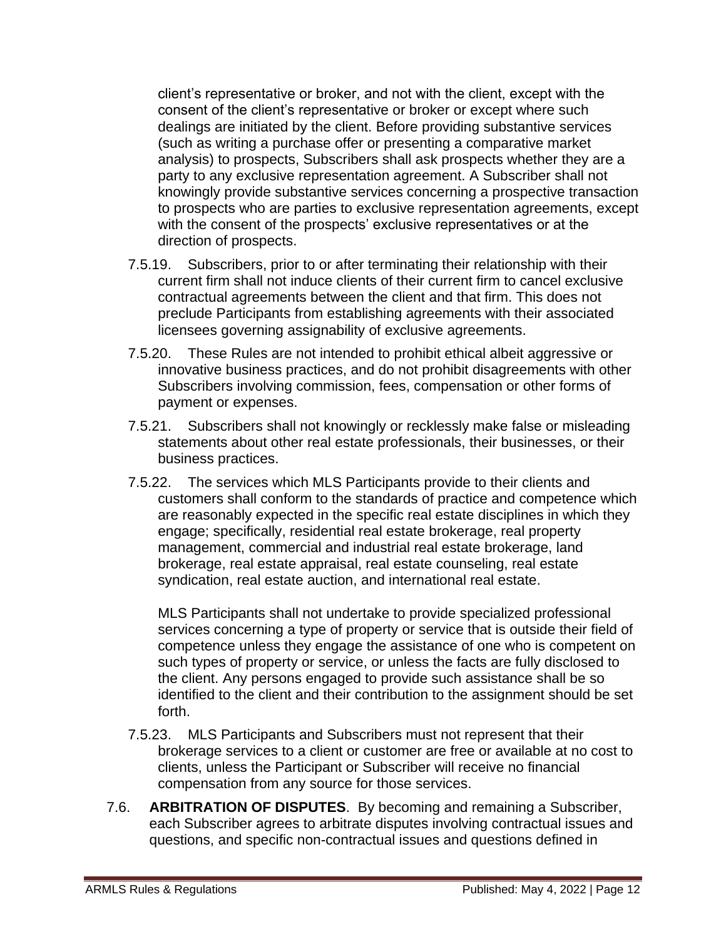client's representative or broker, and not with the client, except with the consent of the client's representative or broker or except where such dealings are initiated by the client. Before providing substantive services (such as writing a purchase offer or presenting a comparative market analysis) to prospects, Subscribers shall ask prospects whether they are a party to any exclusive representation agreement. A Subscriber shall not knowingly provide substantive services concerning a prospective transaction to prospects who are parties to exclusive representation agreements, except with the consent of the prospects' exclusive representatives or at the direction of prospects.

- 7.5.19. Subscribers, prior to or after terminating their relationship with their current firm shall not induce clients of their current firm to cancel exclusive contractual agreements between the client and that firm. This does not preclude Participants from establishing agreements with their associated licensees governing assignability of exclusive agreements.
- 7.5.20. These Rules are not intended to prohibit ethical albeit aggressive or innovative business practices, and do not prohibit disagreements with other Subscribers involving commission, fees, compensation or other forms of payment or expenses.
- 7.5.21. Subscribers shall not knowingly or recklessly make false or misleading statements about other real estate professionals, their businesses, or their business practices.
- 7.5.22. The services which MLS Participants provide to their clients and customers shall conform to the standards of practice and competence which are reasonably expected in the specific real estate disciplines in which they engage; specifically, residential real estate brokerage, real property management, commercial and industrial real estate brokerage, land brokerage, real estate appraisal, real estate counseling, real estate syndication, real estate auction, and international real estate.

MLS Participants shall not undertake to provide specialized professional services concerning a type of property or service that is outside their field of competence unless they engage the assistance of one who is competent on such types of property or service, or unless the facts are fully disclosed to the client. Any persons engaged to provide such assistance shall be so identified to the client and their contribution to the assignment should be set forth.

- 7.5.23. MLS Participants and Subscribers must not represent that their brokerage services to a client or customer are free or available at no cost to clients, unless the Participant or Subscriber will receive no financial compensation from any source for those services.
- 7.6. **ARBITRATION OF DISPUTES**. By becoming and remaining a Subscriber, each Subscriber agrees to arbitrate disputes involving contractual issues and questions, and specific non-contractual issues and questions defined in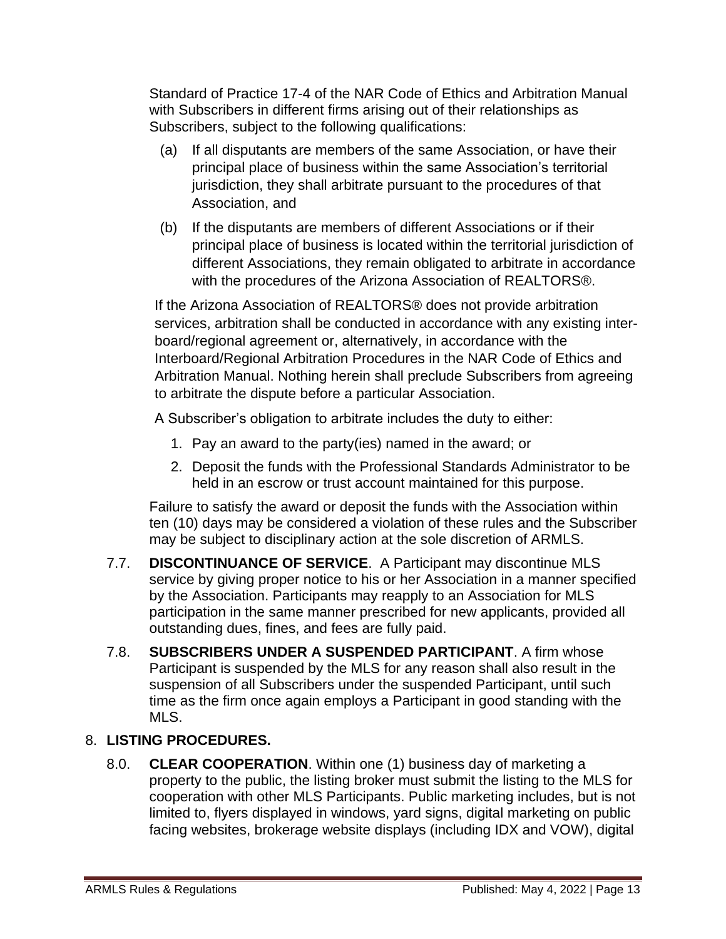Standard of Practice 17-4 of the NAR Code of Ethics and Arbitration Manual with Subscribers in different firms arising out of their relationships as Subscribers, subject to the following qualifications:

- (a) If all disputants are members of the same Association, or have their principal place of business within the same Association's territorial jurisdiction, they shall arbitrate pursuant to the procedures of that Association, and
- (b) If the disputants are members of different Associations or if their principal place of business is located within the territorial jurisdiction of different Associations, they remain obligated to arbitrate in accordance with the procedures of the Arizona Association of REALTORS®.

If the Arizona Association of REALTORS® does not provide arbitration services, arbitration shall be conducted in accordance with any existing interboard/regional agreement or, alternatively, in accordance with the Interboard/Regional Arbitration Procedures in the NAR Code of Ethics and Arbitration Manual. Nothing herein shall preclude Subscribers from agreeing to arbitrate the dispute before a particular Association.

A Subscriber's obligation to arbitrate includes the duty to either:

- 1. Pay an award to the party(ies) named in the award; or
- 2. Deposit the funds with the Professional Standards Administrator to be held in an escrow or trust account maintained for this purpose.

Failure to satisfy the award or deposit the funds with the Association within ten (10) days may be considered a violation of these rules and the Subscriber may be subject to disciplinary action at the sole discretion of ARMLS.

- 7.7. **DISCONTINUANCE OF SERVICE**. A Participant may discontinue MLS service by giving proper notice to his or her Association in a manner specified by the Association. Participants may reapply to an Association for MLS participation in the same manner prescribed for new applicants, provided all outstanding dues, fines, and fees are fully paid.
- 7.8. **SUBSCRIBERS UNDER A SUSPENDED PARTICIPANT**. A firm whose Participant is suspended by the MLS for any reason shall also result in the suspension of all Subscribers under the suspended Participant, until such time as the firm once again employs a Participant in good standing with the MLS.

# 8. **LISTING PROCEDURES.**

8.0. **CLEAR COOPERATION**. Within one (1) business day of marketing a property to the public, the listing broker must submit the listing to the MLS for cooperation with other MLS Participants. Public marketing includes, but is not limited to, flyers displayed in windows, yard signs, digital marketing on public facing websites, brokerage website displays (including IDX and VOW), digital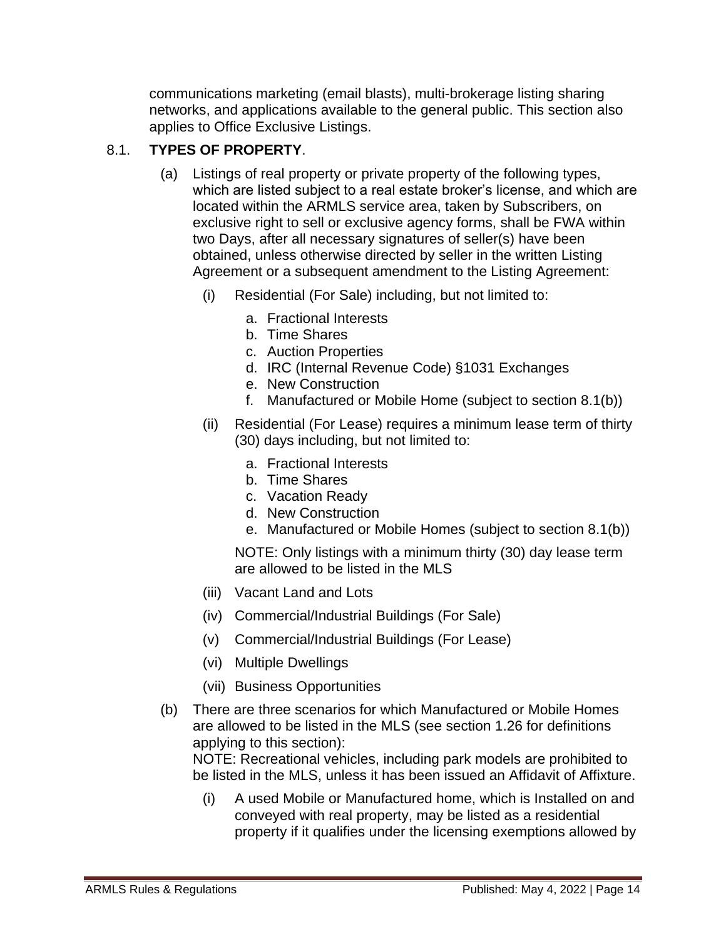communications marketing (email blasts), multi-brokerage listing sharing networks, and applications available to the general public. This section also applies to Office Exclusive Listings.

# 8.1. **TYPES OF PROPERTY**.

- (a) Listings of real property or private property of the following types, which are listed subject to a real estate broker's license, and which are located within the ARMLS service area, taken by Subscribers, on exclusive right to sell or exclusive agency forms, shall be FWA within two Days, after all necessary signatures of seller(s) have been obtained, unless otherwise directed by seller in the written Listing Agreement or a subsequent amendment to the Listing Agreement:
	- (i) Residential (For Sale) including, but not limited to:
		- a. Fractional Interests
		- b. Time Shares
		- c. Auction Properties
		- d. IRC (Internal Revenue Code) §1031 Exchanges
		- e. New Construction
		- f. Manufactured or Mobile Home (subject to section 8.1(b))
	- (ii) Residential (For Lease) requires a minimum lease term of thirty (30) days including, but not limited to:
		- a. Fractional Interests
		- b. Time Shares
		- c. Vacation Ready
		- d. New Construction
		- e. Manufactured or Mobile Homes (subject to section 8.1(b))

NOTE: Only listings with a minimum thirty (30) day lease term are allowed to be listed in the MLS

- (iii) Vacant Land and Lots
- (iv) Commercial/Industrial Buildings (For Sale)
- (v) Commercial/Industrial Buildings (For Lease)
- (vi) Multiple Dwellings
- (vii) Business Opportunities
- (b) There are three scenarios for which Manufactured or Mobile Homes are allowed to be listed in the MLS (see section 1.26 for definitions applying to this section):

NOTE: Recreational vehicles, including park models are prohibited to be listed in the MLS, unless it has been issued an Affidavit of Affixture.

(i) A used Mobile or Manufactured home, which is Installed on and conveyed with real property, may be listed as a residential property if it qualifies under the licensing exemptions allowed by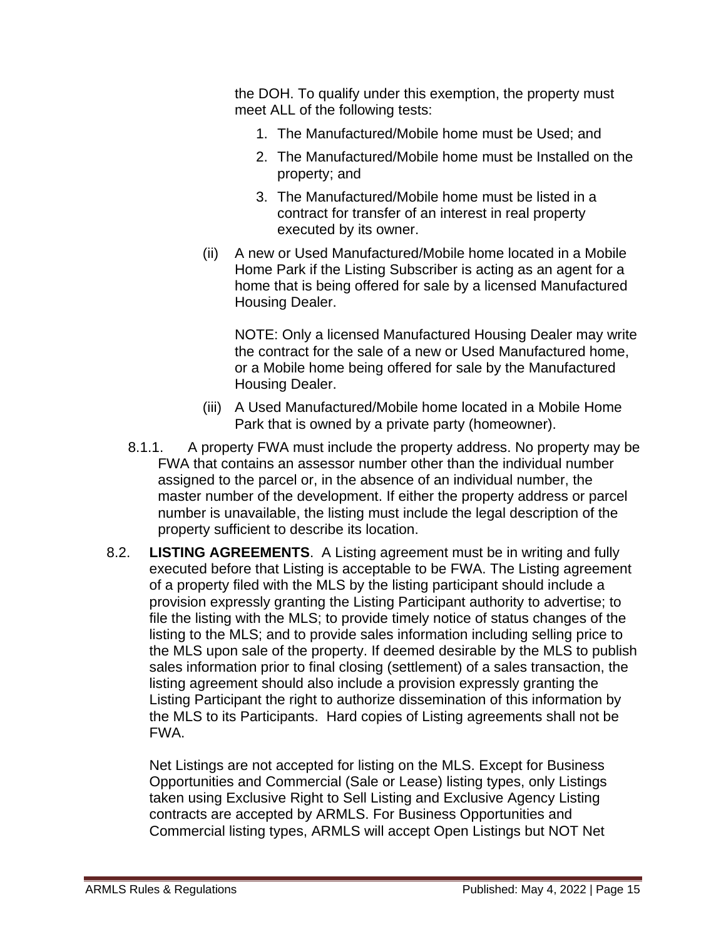the DOH. To qualify under this exemption, the property must meet ALL of the following tests:

- 1. The Manufactured/Mobile home must be Used; and
- 2. The Manufactured/Mobile home must be Installed on the property; and
- 3. The Manufactured/Mobile home must be listed in a contract for transfer of an interest in real property executed by its owner.
- (ii) A new or Used Manufactured/Mobile home located in a Mobile Home Park if the Listing Subscriber is acting as an agent for a home that is being offered for sale by a licensed Manufactured Housing Dealer.

NOTE: Only a licensed Manufactured Housing Dealer may write the contract for the sale of a new or Used Manufactured home, or a Mobile home being offered for sale by the Manufactured Housing Dealer.

- (iii) A Used Manufactured/Mobile home located in a Mobile Home Park that is owned by a private party (homeowner).
- 8.1.1. A property FWA must include the property address. No property may be FWA that contains an assessor number other than the individual number assigned to the parcel or, in the absence of an individual number, the master number of the development. If either the property address or parcel number is unavailable, the listing must include the legal description of the property sufficient to describe its location.
- 8.2. **LISTING AGREEMENTS**. A Listing agreement must be in writing and fully executed before that Listing is acceptable to be FWA. The Listing agreement of a property filed with the MLS by the listing participant should include a provision expressly granting the Listing Participant authority to advertise; to file the listing with the MLS; to provide timely notice of status changes of the listing to the MLS; and to provide sales information including selling price to the MLS upon sale of the property. If deemed desirable by the MLS to publish sales information prior to final closing (settlement) of a sales transaction, the listing agreement should also include a provision expressly granting the Listing Participant the right to authorize dissemination of this information by the MLS to its Participants. Hard copies of Listing agreements shall not be FWA.

Net Listings are not accepted for listing on the MLS. Except for Business Opportunities and Commercial (Sale or Lease) listing types, only Listings taken using Exclusive Right to Sell Listing and Exclusive Agency Listing contracts are accepted by ARMLS. For Business Opportunities and Commercial listing types, ARMLS will accept Open Listings but NOT Net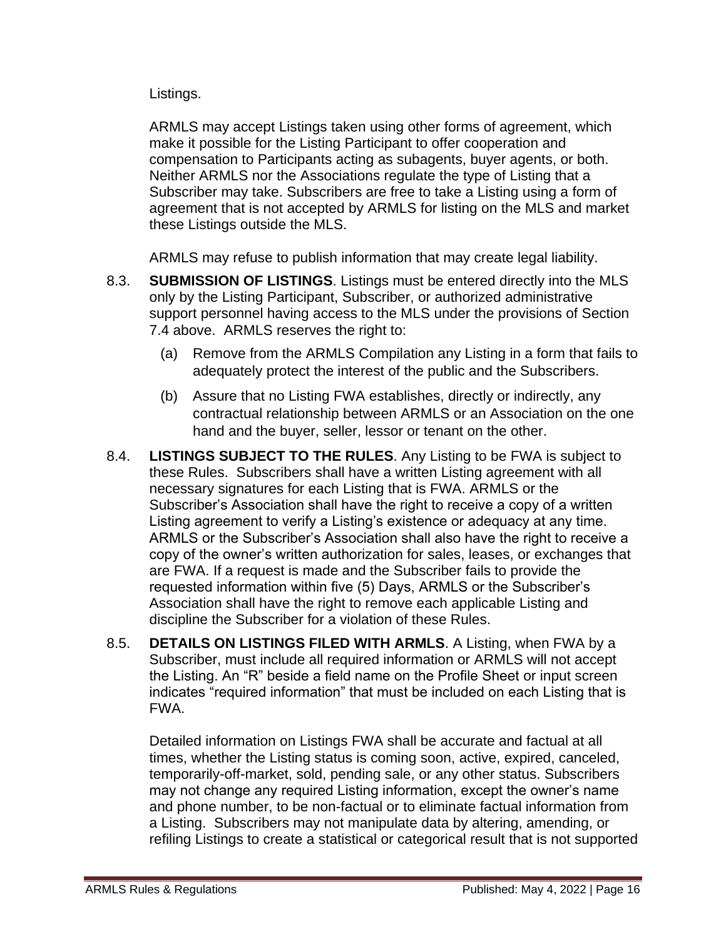Listings.

ARMLS may accept Listings taken using other forms of agreement, which make it possible for the Listing Participant to offer cooperation and compensation to Participants acting as subagents, buyer agents, or both. Neither ARMLS nor the Associations regulate the type of Listing that a Subscriber may take. Subscribers are free to take a Listing using a form of agreement that is not accepted by ARMLS for listing on the MLS and market these Listings outside the MLS.

ARMLS may refuse to publish information that may create legal liability.

- 8.3. **SUBMISSION OF LISTINGS**. Listings must be entered directly into the MLS only by the Listing Participant, Subscriber, or authorized administrative support personnel having access to the MLS under the provisions of Section 7.4 above. ARMLS reserves the right to:
	- (a) Remove from the ARMLS Compilation any Listing in a form that fails to adequately protect the interest of the public and the Subscribers.
	- (b) Assure that no Listing FWA establishes, directly or indirectly, any contractual relationship between ARMLS or an Association on the one hand and the buyer, seller, lessor or tenant on the other.
- 8.4. **LISTINGS SUBJECT TO THE RULES**. Any Listing to be FWA is subject to these Rules. Subscribers shall have a written Listing agreement with all necessary signatures for each Listing that is FWA. ARMLS or the Subscriber's Association shall have the right to receive a copy of a written Listing agreement to verify a Listing's existence or adequacy at any time. ARMLS or the Subscriber's Association shall also have the right to receive a copy of the owner's written authorization for sales, leases, or exchanges that are FWA. If a request is made and the Subscriber fails to provide the requested information within five (5) Days, ARMLS or the Subscriber's Association shall have the right to remove each applicable Listing and discipline the Subscriber for a violation of these Rules.
- 8.5. **DETAILS ON LISTINGS FILED WITH ARMLS**. A Listing, when FWA by a Subscriber, must include all required information or ARMLS will not accept the Listing. An "R" beside a field name on the Profile Sheet or input screen indicates "required information" that must be included on each Listing that is FWA.

Detailed information on Listings FWA shall be accurate and factual at all times, whether the Listing status is coming soon, active, expired, canceled, temporarily-off-market, sold, pending sale, or any other status. Subscribers may not change any required Listing information, except the owner's name and phone number, to be non-factual or to eliminate factual information from a Listing. Subscribers may not manipulate data by altering, amending, or refiling Listings to create a statistical or categorical result that is not supported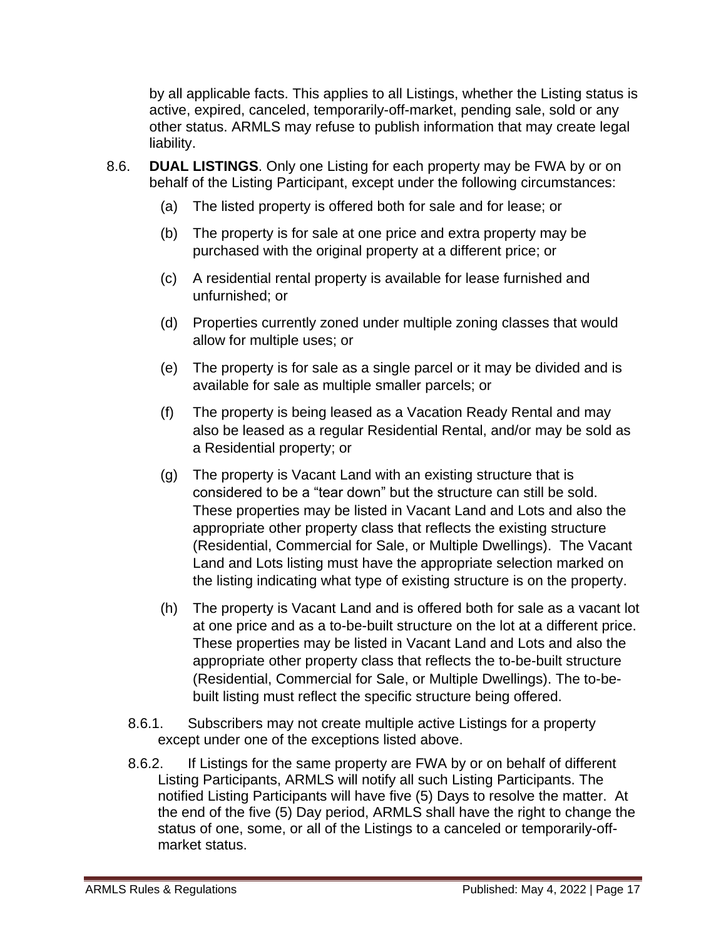by all applicable facts. This applies to all Listings, whether the Listing status is active, expired, canceled, temporarily-off-market, pending sale, sold or any other status. ARMLS may refuse to publish information that may create legal liability.

- 8.6. **DUAL LISTINGS**. Only one Listing for each property may be FWA by or on behalf of the Listing Participant, except under the following circumstances:
	- (a) The listed property is offered both for sale and for lease; or
	- (b) The property is for sale at one price and extra property may be purchased with the original property at a different price; or
	- (c) A residential rental property is available for lease furnished and unfurnished; or
	- (d) Properties currently zoned under multiple zoning classes that would allow for multiple uses; or
	- (e) The property is for sale as a single parcel or it may be divided and is available for sale as multiple smaller parcels; or
	- (f) The property is being leased as a Vacation Ready Rental and may also be leased as a regular Residential Rental, and/or may be sold as a Residential property; or
	- (g) The property is Vacant Land with an existing structure that is considered to be a "tear down" but the structure can still be sold. These properties may be listed in Vacant Land and Lots and also the appropriate other property class that reflects the existing structure (Residential, Commercial for Sale, or Multiple Dwellings). The Vacant Land and Lots listing must have the appropriate selection marked on the listing indicating what type of existing structure is on the property.
	- (h) The property is Vacant Land and is offered both for sale as a vacant lot at one price and as a to-be-built structure on the lot at a different price. These properties may be listed in Vacant Land and Lots and also the appropriate other property class that reflects the to-be-built structure (Residential, Commercial for Sale, or Multiple Dwellings). The to-bebuilt listing must reflect the specific structure being offered.
	- 8.6.1. Subscribers may not create multiple active Listings for a property except under one of the exceptions listed above.
	- 8.6.2. If Listings for the same property are FWA by or on behalf of different Listing Participants, ARMLS will notify all such Listing Participants. The notified Listing Participants will have five (5) Days to resolve the matter. At the end of the five (5) Day period, ARMLS shall have the right to change the status of one, some, or all of the Listings to a canceled or temporarily-offmarket status.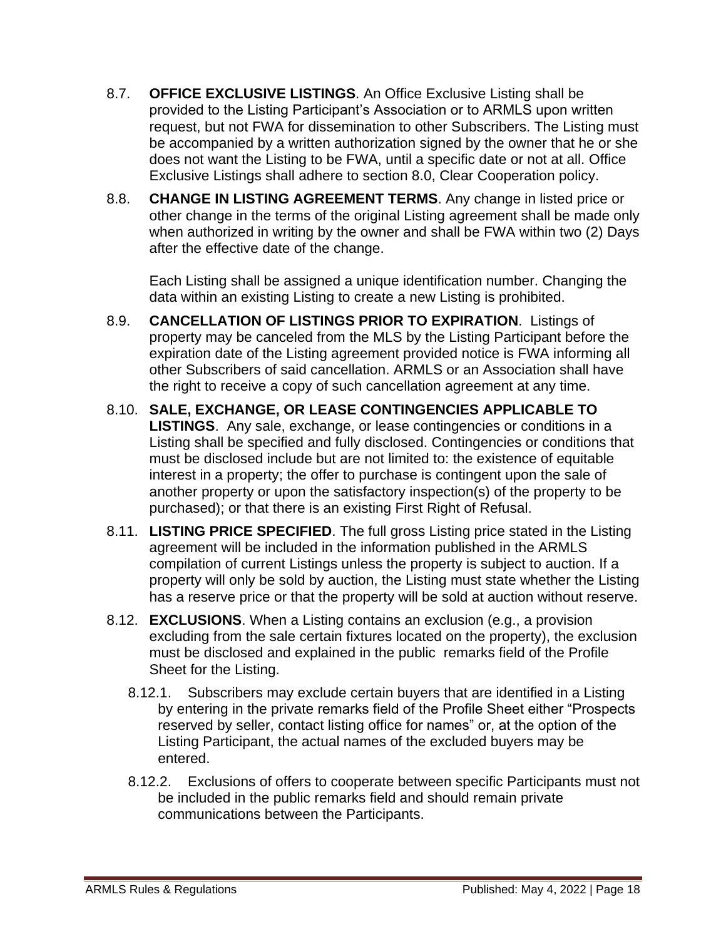- 8.7. **OFFICE EXCLUSIVE LISTINGS**. An Office Exclusive Listing shall be provided to the Listing Participant's Association or to ARMLS upon written request, but not FWA for dissemination to other Subscribers. The Listing must be accompanied by a written authorization signed by the owner that he or she does not want the Listing to be FWA, until a specific date or not at all. Office Exclusive Listings shall adhere to section 8.0, Clear Cooperation policy.
- 8.8. **CHANGE IN LISTING AGREEMENT TERMS**. Any change in listed price or other change in the terms of the original Listing agreement shall be made only when authorized in writing by the owner and shall be FWA within two (2) Days after the effective date of the change.

Each Listing shall be assigned a unique identification number. Changing the data within an existing Listing to create a new Listing is prohibited.

- 8.9. **CANCELLATION OF LISTINGS PRIOR TO EXPIRATION**. Listings of property may be canceled from the MLS by the Listing Participant before the expiration date of the Listing agreement provided notice is FWA informing all other Subscribers of said cancellation. ARMLS or an Association shall have the right to receive a copy of such cancellation agreement at any time.
- 8.10. **SALE, EXCHANGE, OR LEASE CONTINGENCIES APPLICABLE TO LISTINGS**. Any sale, exchange, or lease contingencies or conditions in a Listing shall be specified and fully disclosed. Contingencies or conditions that must be disclosed include but are not limited to: the existence of equitable interest in a property; the offer to purchase is contingent upon the sale of another property or upon the satisfactory inspection(s) of the property to be purchased); or that there is an existing First Right of Refusal.
- 8.11. **LISTING PRICE SPECIFIED**. The full gross Listing price stated in the Listing agreement will be included in the information published in the ARMLS compilation of current Listings unless the property is subject to auction. If a property will only be sold by auction, the Listing must state whether the Listing has a reserve price or that the property will be sold at auction without reserve.
- 8.12. **EXCLUSIONS**. When a Listing contains an exclusion (e.g., a provision excluding from the sale certain fixtures located on the property), the exclusion must be disclosed and explained in the public remarks field of the Profile Sheet for the Listing.
	- 8.12.1. Subscribers may exclude certain buyers that are identified in a Listing by entering in the private remarks field of the Profile Sheet either "Prospects reserved by seller, contact listing office for names" or, at the option of the Listing Participant, the actual names of the excluded buyers may be entered.
	- 8.12.2. Exclusions of offers to cooperate between specific Participants must not be included in the public remarks field and should remain private communications between the Participants.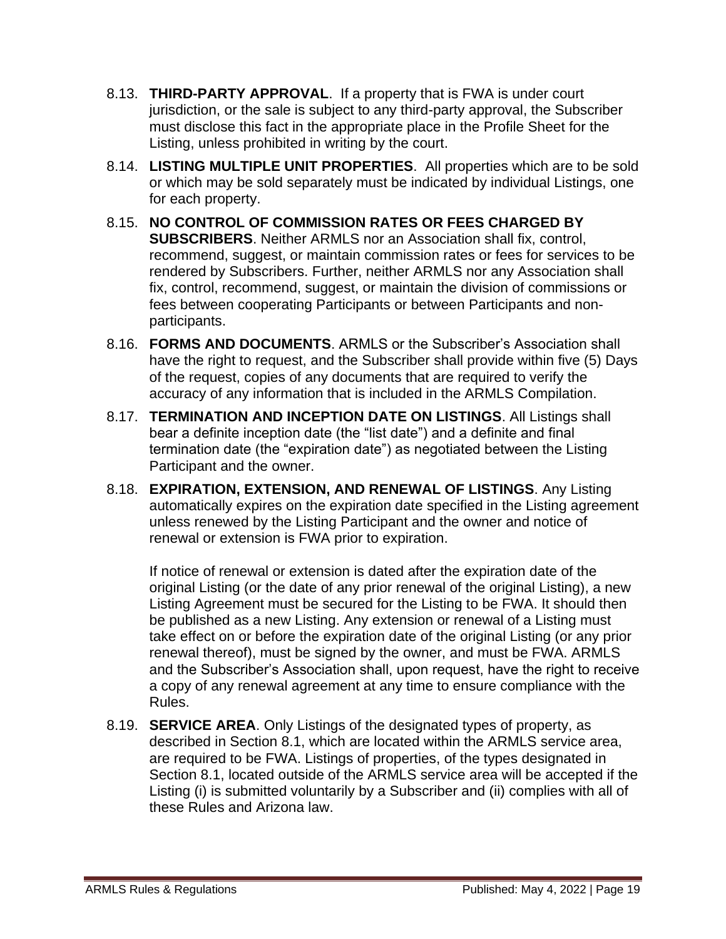- 8.13. **THIRD-PARTY APPROVAL**. If a property that is FWA is under court jurisdiction, or the sale is subject to any third-party approval, the Subscriber must disclose this fact in the appropriate place in the Profile Sheet for the Listing, unless prohibited in writing by the court.
- 8.14. **LISTING MULTIPLE UNIT PROPERTIES**. All properties which are to be sold or which may be sold separately must be indicated by individual Listings, one for each property.
- 8.15. **NO CONTROL OF COMMISSION RATES OR FEES CHARGED BY SUBSCRIBERS**. Neither ARMLS nor an Association shall fix, control, recommend, suggest, or maintain commission rates or fees for services to be rendered by Subscribers. Further, neither ARMLS nor any Association shall fix, control, recommend, suggest, or maintain the division of commissions or fees between cooperating Participants or between Participants and nonparticipants.
- 8.16. **FORMS AND DOCUMENTS**. ARMLS or the Subscriber's Association shall have the right to request, and the Subscriber shall provide within five (5) Days of the request, copies of any documents that are required to verify the accuracy of any information that is included in the ARMLS Compilation.
- 8.17. **TERMINATION AND INCEPTION DATE ON LISTINGS**. All Listings shall bear a definite inception date (the "list date") and a definite and final termination date (the "expiration date") as negotiated between the Listing Participant and the owner.
- 8.18. **EXPIRATION, EXTENSION, AND RENEWAL OF LISTINGS**. Any Listing automatically expires on the expiration date specified in the Listing agreement unless renewed by the Listing Participant and the owner and notice of renewal or extension is FWA prior to expiration.

If notice of renewal or extension is dated after the expiration date of the original Listing (or the date of any prior renewal of the original Listing), a new Listing Agreement must be secured for the Listing to be FWA. It should then be published as a new Listing. Any extension or renewal of a Listing must take effect on or before the expiration date of the original Listing (or any prior renewal thereof), must be signed by the owner, and must be FWA. ARMLS and the Subscriber's Association shall, upon request, have the right to receive a copy of any renewal agreement at any time to ensure compliance with the Rules.

8.19. **SERVICE AREA**. Only Listings of the designated types of property, as described in Section 8.1, which are located within the ARMLS service area, are required to be FWA. Listings of properties, of the types designated in Section 8.1, located outside of the ARMLS service area will be accepted if the Listing (i) is submitted voluntarily by a Subscriber and (ii) complies with all of these Rules and Arizona law.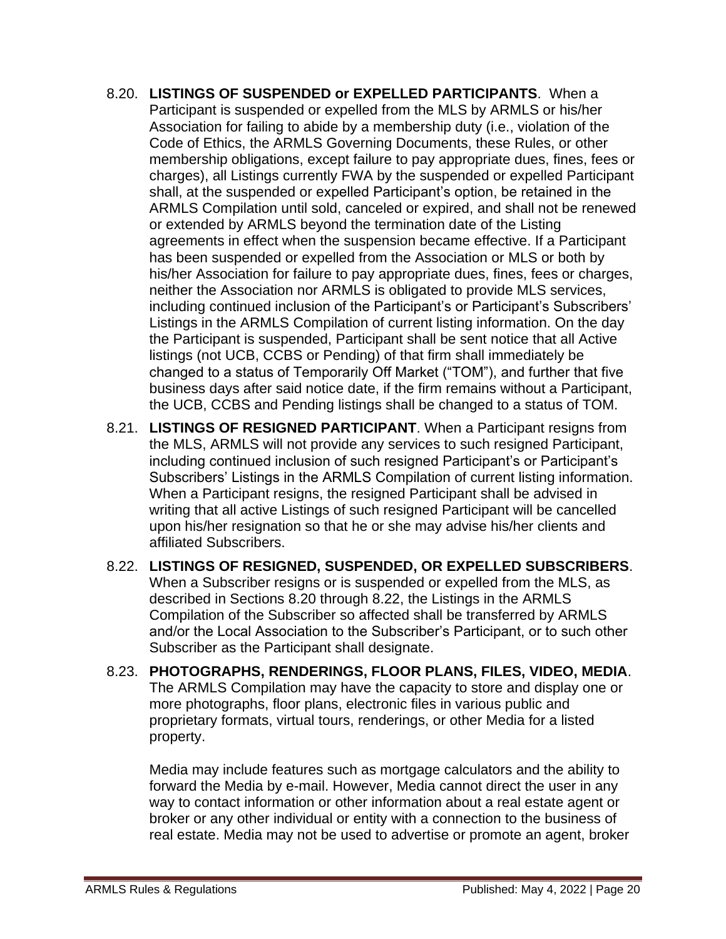- 8.20. **LISTINGS OF SUSPENDED or EXPELLED PARTICIPANTS**. When a Participant is suspended or expelled from the MLS by ARMLS or his/her Association for failing to abide by a membership duty (i.e., violation of the Code of Ethics, the ARMLS Governing Documents, these Rules, or other membership obligations, except failure to pay appropriate dues, fines, fees or charges), all Listings currently FWA by the suspended or expelled Participant shall, at the suspended or expelled Participant's option, be retained in the ARMLS Compilation until sold, canceled or expired, and shall not be renewed or extended by ARMLS beyond the termination date of the Listing agreements in effect when the suspension became effective. If a Participant has been suspended or expelled from the Association or MLS or both by his/her Association for failure to pay appropriate dues, fines, fees or charges, neither the Association nor ARMLS is obligated to provide MLS services, including continued inclusion of the Participant's or Participant's Subscribers' Listings in the ARMLS Compilation of current listing information. On the day the Participant is suspended, Participant shall be sent notice that all Active listings (not UCB, CCBS or Pending) of that firm shall immediately be changed to a status of Temporarily Off Market ("TOM"), and further that five business days after said notice date, if the firm remains without a Participant, the UCB, CCBS and Pending listings shall be changed to a status of TOM.
- 8.21. **LISTINGS OF RESIGNED PARTICIPANT**. When a Participant resigns from the MLS, ARMLS will not provide any services to such resigned Participant, including continued inclusion of such resigned Participant's or Participant's Subscribers' Listings in the ARMLS Compilation of current listing information. When a Participant resigns, the resigned Participant shall be advised in writing that all active Listings of such resigned Participant will be cancelled upon his/her resignation so that he or she may advise his/her clients and affiliated Subscribers.
- 8.22. **LISTINGS OF RESIGNED, SUSPENDED, OR EXPELLED SUBSCRIBERS**. When a Subscriber resigns or is suspended or expelled from the MLS, as described in Sections 8.20 through 8.22, the Listings in the ARMLS Compilation of the Subscriber so affected shall be transferred by ARMLS and/or the Local Association to the Subscriber's Participant, or to such other Subscriber as the Participant shall designate.
- 8.23. **PHOTOGRAPHS, RENDERINGS, FLOOR PLANS, FILES, VIDEO, MEDIA**. The ARMLS Compilation may have the capacity to store and display one or more photographs, floor plans, electronic files in various public and proprietary formats, virtual tours, renderings, or other Media for a listed property.

Media may include features such as mortgage calculators and the ability to forward the Media by e-mail. However, Media cannot direct the user in any way to contact information or other information about a real estate agent or broker or any other individual or entity with a connection to the business of real estate. Media may not be used to advertise or promote an agent, broker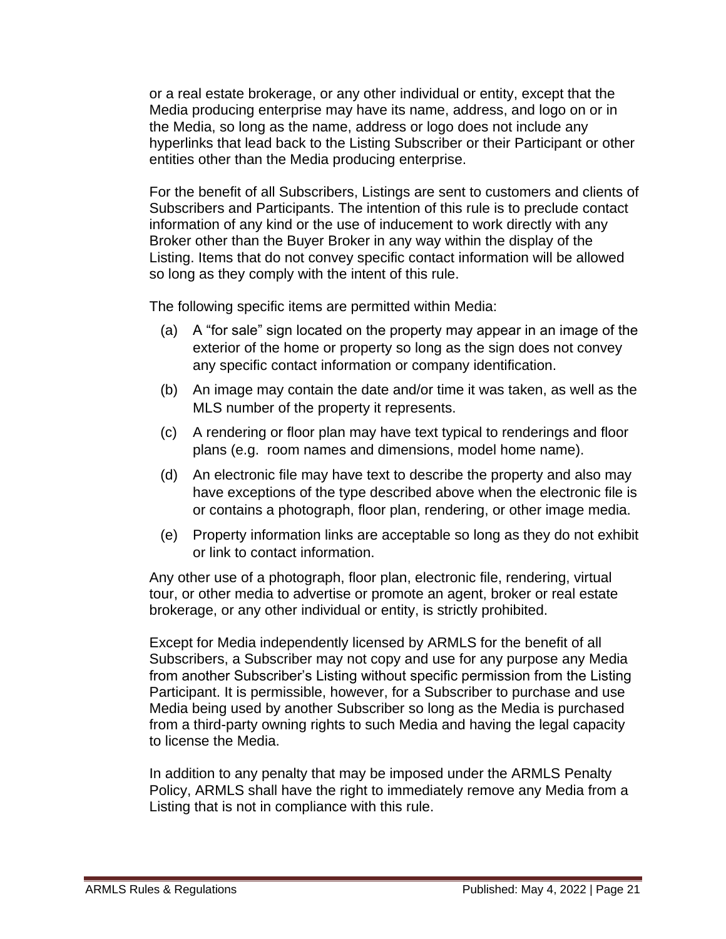or a real estate brokerage, or any other individual or entity, except that the Media producing enterprise may have its name, address, and logo on or in the Media, so long as the name, address or logo does not include any hyperlinks that lead back to the Listing Subscriber or their Participant or other entities other than the Media producing enterprise.

For the benefit of all Subscribers, Listings are sent to customers and clients of Subscribers and Participants. The intention of this rule is to preclude contact information of any kind or the use of inducement to work directly with any Broker other than the Buyer Broker in any way within the display of the Listing. Items that do not convey specific contact information will be allowed so long as they comply with the intent of this rule.

The following specific items are permitted within Media:

- (a) A "for sale" sign located on the property may appear in an image of the exterior of the home or property so long as the sign does not convey any specific contact information or company identification.
- (b) An image may contain the date and/or time it was taken, as well as the MLS number of the property it represents.
- (c) A rendering or floor plan may have text typical to renderings and floor plans (e.g. room names and dimensions, model home name).
- (d) An electronic file may have text to describe the property and also may have exceptions of the type described above when the electronic file is or contains a photograph, floor plan, rendering, or other image media.
- (e) Property information links are acceptable so long as they do not exhibit or link to contact information.

Any other use of a photograph, floor plan, electronic file, rendering, virtual tour, or other media to advertise or promote an agent, broker or real estate brokerage, or any other individual or entity, is strictly prohibited.

Except for Media independently licensed by ARMLS for the benefit of all Subscribers, a Subscriber may not copy and use for any purpose any Media from another Subscriber's Listing without specific permission from the Listing Participant. It is permissible, however, for a Subscriber to purchase and use Media being used by another Subscriber so long as the Media is purchased from a third-party owning rights to such Media and having the legal capacity to license the Media.

In addition to any penalty that may be imposed under the ARMLS Penalty Policy, ARMLS shall have the right to immediately remove any Media from a Listing that is not in compliance with this rule.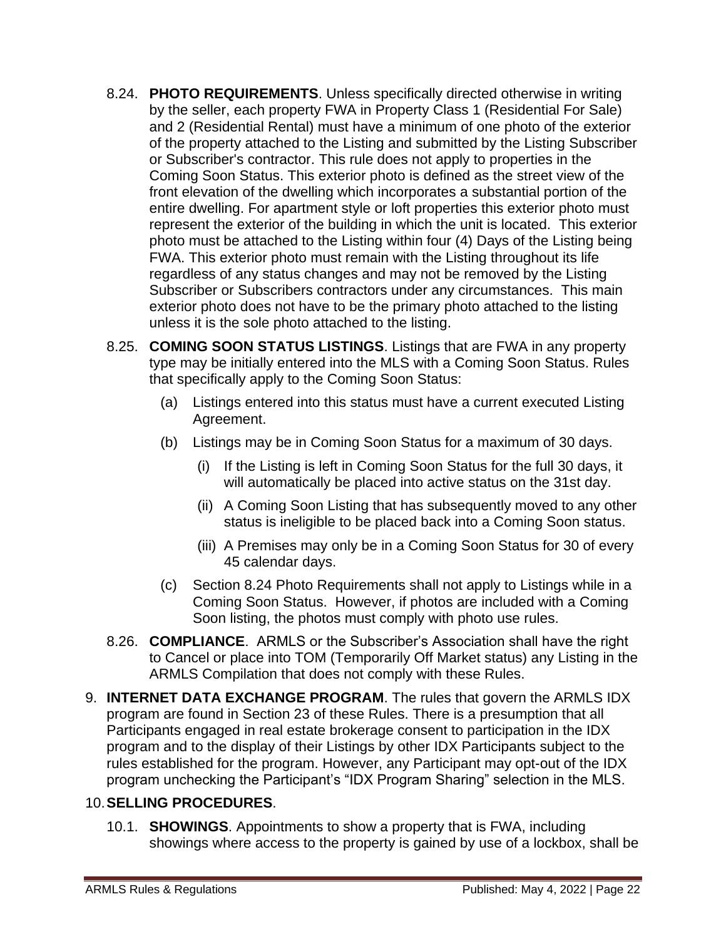- 8.24. **PHOTO REQUIREMENTS**. Unless specifically directed otherwise in writing by the seller, each property FWA in Property Class 1 (Residential For Sale) and 2 (Residential Rental) must have a minimum of one photo of the exterior of the property attached to the Listing and submitted by the Listing Subscriber or Subscriber's contractor. This rule does not apply to properties in the Coming Soon Status. This exterior photo is defined as the street view of the front elevation of the dwelling which incorporates a substantial portion of the entire dwelling. For apartment style or loft properties this exterior photo must represent the exterior of the building in which the unit is located. This exterior photo must be attached to the Listing within four (4) Days of the Listing being FWA. This exterior photo must remain with the Listing throughout its life regardless of any status changes and may not be removed by the Listing Subscriber or Subscribers contractors under any circumstances. This main exterior photo does not have to be the primary photo attached to the listing unless it is the sole photo attached to the listing.
- 8.25. **COMING SOON STATUS LISTINGS**. Listings that are FWA in any property type may be initially entered into the MLS with a Coming Soon Status. Rules that specifically apply to the Coming Soon Status:
	- (a) Listings entered into this status must have a current executed Listing Agreement.
	- (b) Listings may be in Coming Soon Status for a maximum of 30 days.
		- (i) If the Listing is left in Coming Soon Status for the full 30 days, it will automatically be placed into active status on the 31st day.
		- (ii) A Coming Soon Listing that has subsequently moved to any other status is ineligible to be placed back into a Coming Soon status.
		- (iii) A Premises may only be in a Coming Soon Status for 30 of every 45 calendar days.
	- (c) Section 8.24 Photo Requirements shall not apply to Listings while in a Coming Soon Status. However, if photos are included with a Coming Soon listing, the photos must comply with photo use rules.
- 8.26. **COMPLIANCE**. ARMLS or the Subscriber's Association shall have the right to Cancel or place into TOM (Temporarily Off Market status) any Listing in the ARMLS Compilation that does not comply with these Rules.
- 9. **INTERNET DATA EXCHANGE PROGRAM**. The rules that govern the ARMLS IDX program are found in Section 23 of these Rules. There is a presumption that all Participants engaged in real estate brokerage consent to participation in the IDX program and to the display of their Listings by other IDX Participants subject to the rules established for the program. However, any Participant may opt-out of the IDX program unchecking the Participant's "IDX Program Sharing" selection in the MLS.

#### 10.**SELLING PROCEDURES**.

10.1. **SHOWINGS**. Appointments to show a property that is FWA, including showings where access to the property is gained by use of a lockbox, shall be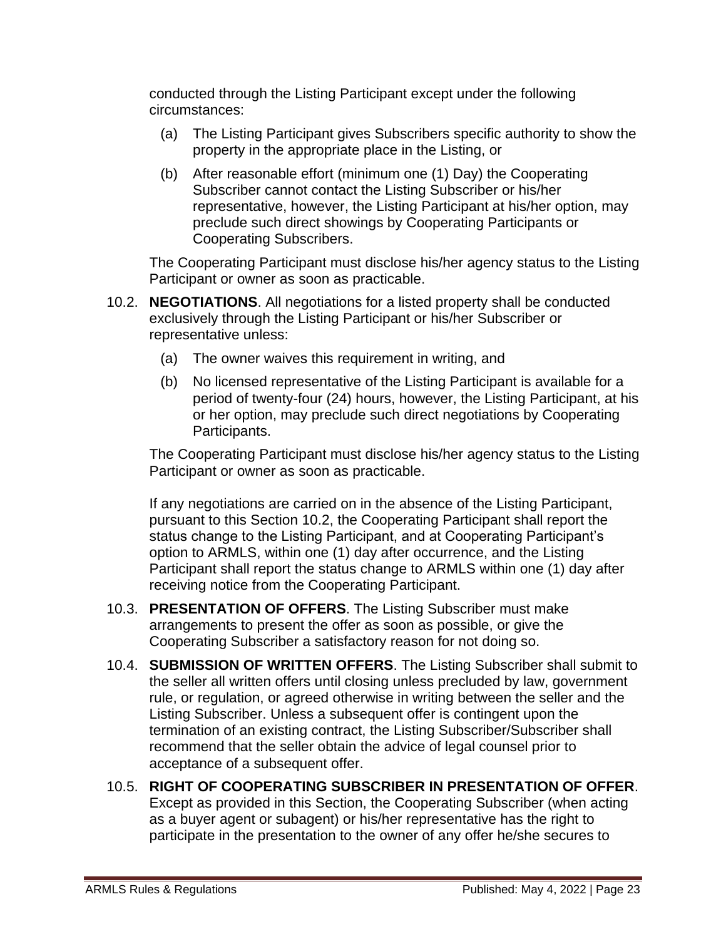conducted through the Listing Participant except under the following circumstances:

- (a) The Listing Participant gives Subscribers specific authority to show the property in the appropriate place in the Listing, or
- (b) After reasonable effort (minimum one (1) Day) the Cooperating Subscriber cannot contact the Listing Subscriber or his/her representative, however, the Listing Participant at his/her option, may preclude such direct showings by Cooperating Participants or Cooperating Subscribers.

The Cooperating Participant must disclose his/her agency status to the Listing Participant or owner as soon as practicable.

- 10.2. **NEGOTIATIONS**. All negotiations for a listed property shall be conducted exclusively through the Listing Participant or his/her Subscriber or representative unless:
	- (a) The owner waives this requirement in writing, and
	- (b) No licensed representative of the Listing Participant is available for a period of twenty-four (24) hours, however, the Listing Participant, at his or her option, may preclude such direct negotiations by Cooperating Participants.

The Cooperating Participant must disclose his/her agency status to the Listing Participant or owner as soon as practicable.

If any negotiations are carried on in the absence of the Listing Participant, pursuant to this Section 10.2, the Cooperating Participant shall report the status change to the Listing Participant, and at Cooperating Participant's option to ARMLS, within one (1) day after occurrence, and the Listing Participant shall report the status change to ARMLS within one (1) day after receiving notice from the Cooperating Participant.

- 10.3. **PRESENTATION OF OFFERS**. The Listing Subscriber must make arrangements to present the offer as soon as possible, or give the Cooperating Subscriber a satisfactory reason for not doing so.
- 10.4. **SUBMISSION OF WRITTEN OFFERS**. The Listing Subscriber shall submit to the seller all written offers until closing unless precluded by law, government rule, or regulation, or agreed otherwise in writing between the seller and the Listing Subscriber. Unless a subsequent offer is contingent upon the termination of an existing contract, the Listing Subscriber/Subscriber shall recommend that the seller obtain the advice of legal counsel prior to acceptance of a subsequent offer.
- 10.5. **RIGHT OF COOPERATING SUBSCRIBER IN PRESENTATION OF OFFER**. Except as provided in this Section, the Cooperating Subscriber (when acting as a buyer agent or subagent) or his/her representative has the right to participate in the presentation to the owner of any offer he/she secures to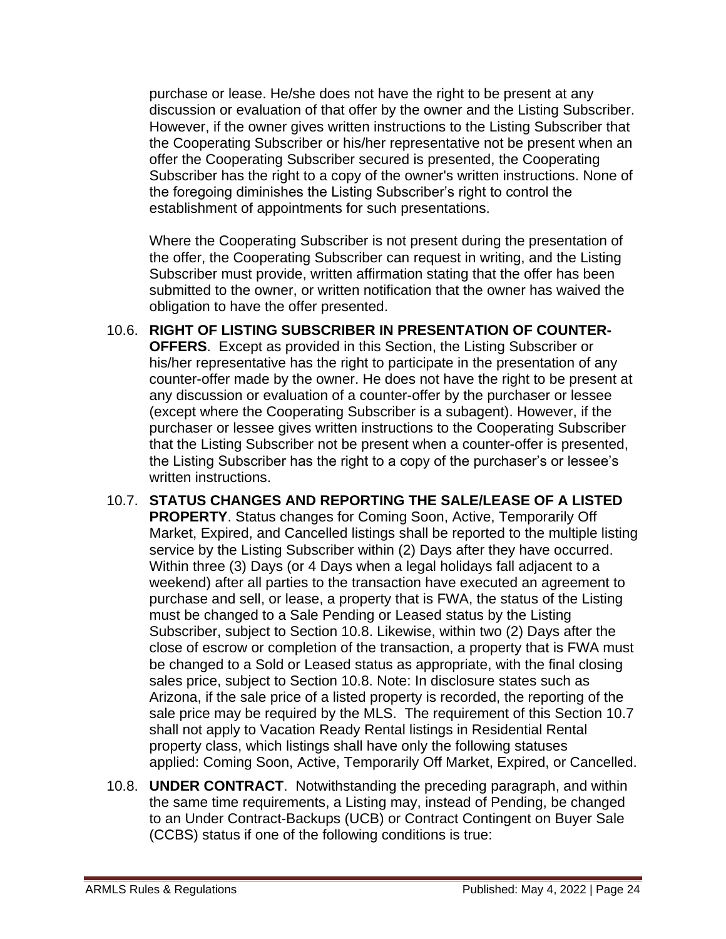purchase or lease. He/she does not have the right to be present at any discussion or evaluation of that offer by the owner and the Listing Subscriber. However, if the owner gives written instructions to the Listing Subscriber that the Cooperating Subscriber or his/her representative not be present when an offer the Cooperating Subscriber secured is presented, the Cooperating Subscriber has the right to a copy of the owner's written instructions. None of the foregoing diminishes the Listing Subscriber's right to control the establishment of appointments for such presentations.

Where the Cooperating Subscriber is not present during the presentation of the offer, the Cooperating Subscriber can request in writing, and the Listing Subscriber must provide, written affirmation stating that the offer has been submitted to the owner, or written notification that the owner has waived the obligation to have the offer presented.

- 10.6. **RIGHT OF LISTING SUBSCRIBER IN PRESENTATION OF COUNTER-OFFERS**. Except as provided in this Section, the Listing Subscriber or his/her representative has the right to participate in the presentation of any counter-offer made by the owner. He does not have the right to be present at any discussion or evaluation of a counter-offer by the purchaser or lessee (except where the Cooperating Subscriber is a subagent). However, if the purchaser or lessee gives written instructions to the Cooperating Subscriber that the Listing Subscriber not be present when a counter-offer is presented, the Listing Subscriber has the right to a copy of the purchaser's or lessee's written instructions.
- 10.7. **STATUS CHANGES AND REPORTING THE SALE/LEASE OF A LISTED PROPERTY**. Status changes for Coming Soon, Active, Temporarily Off Market, Expired, and Cancelled listings shall be reported to the multiple listing service by the Listing Subscriber within (2) Days after they have occurred. Within three (3) Days (or 4 Days when a legal holidays fall adjacent to a weekend) after all parties to the transaction have executed an agreement to purchase and sell, or lease, a property that is FWA, the status of the Listing must be changed to a Sale Pending or Leased status by the Listing Subscriber, subject to Section 10.8. Likewise, within two (2) Days after the close of escrow or completion of the transaction, a property that is FWA must be changed to a Sold or Leased status as appropriate, with the final closing sales price, subject to Section 10.8. Note: In disclosure states such as Arizona, if the sale price of a listed property is recorded, the reporting of the sale price may be required by the MLS. The requirement of this Section 10.7 shall not apply to Vacation Ready Rental listings in Residential Rental property class, which listings shall have only the following statuses applied: Coming Soon, Active, Temporarily Off Market, Expired, or Cancelled.
- 10.8. **UNDER CONTRACT**. Notwithstanding the preceding paragraph, and within the same time requirements, a Listing may, instead of Pending, be changed to an Under Contract-Backups (UCB) or Contract Contingent on Buyer Sale (CCBS) status if one of the following conditions is true: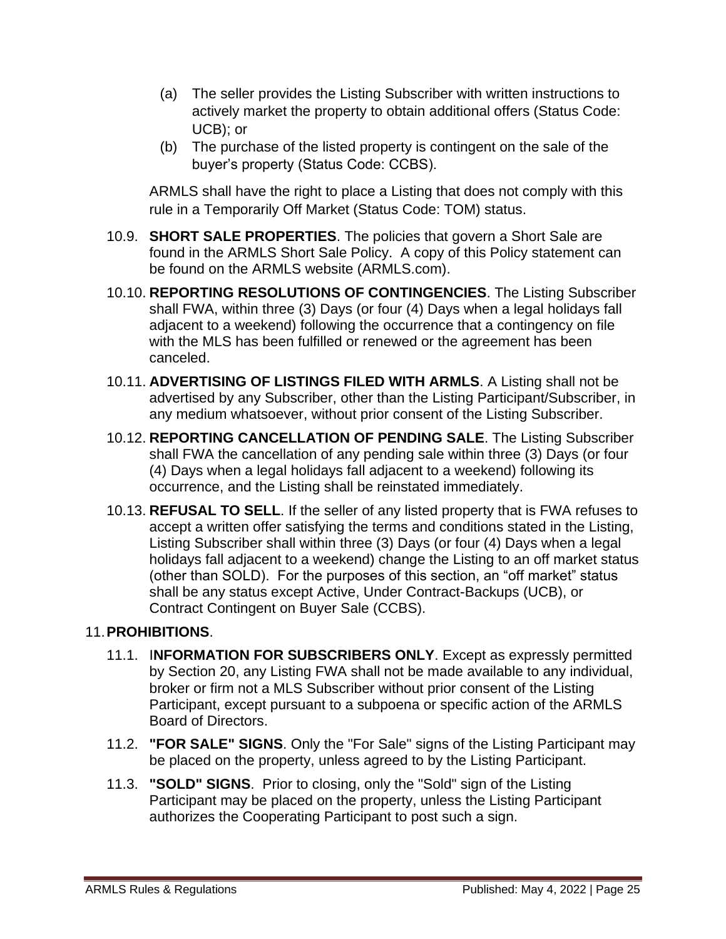- (a) The seller provides the Listing Subscriber with written instructions to actively market the property to obtain additional offers (Status Code: UCB); or
- (b) The purchase of the listed property is contingent on the sale of the buyer's property (Status Code: CCBS).

ARMLS shall have the right to place a Listing that does not comply with this rule in a Temporarily Off Market (Status Code: TOM) status.

- 10.9. **SHORT SALE PROPERTIES**. The policies that govern a Short Sale are found in the ARMLS Short Sale Policy. A copy of this Policy statement can be found on the ARMLS website (ARMLS.com).
- 10.10. **REPORTING RESOLUTIONS OF CONTINGENCIES**. The Listing Subscriber shall FWA, within three (3) Days (or four (4) Days when a legal holidays fall adjacent to a weekend) following the occurrence that a contingency on file with the MLS has been fulfilled or renewed or the agreement has been canceled.
- 10.11. **ADVERTISING OF LISTINGS FILED WITH ARMLS**. A Listing shall not be advertised by any Subscriber, other than the Listing Participant/Subscriber, in any medium whatsoever, without prior consent of the Listing Subscriber.
- 10.12. **REPORTING CANCELLATION OF PENDING SALE**. The Listing Subscriber shall FWA the cancellation of any pending sale within three (3) Days (or four (4) Days when a legal holidays fall adjacent to a weekend) following its occurrence, and the Listing shall be reinstated immediately.
- 10.13. **REFUSAL TO SELL**. If the seller of any listed property that is FWA refuses to accept a written offer satisfying the terms and conditions stated in the Listing, Listing Subscriber shall within three (3) Days (or four (4) Days when a legal holidays fall adjacent to a weekend) change the Listing to an off market status (other than SOLD). For the purposes of this section, an "off market" status shall be any status except Active, Under Contract-Backups (UCB), or Contract Contingent on Buyer Sale (CCBS).

#### 11.**PROHIBITIONS**.

- 11.1. I**NFORMATION FOR SUBSCRIBERS ONLY**. Except as expressly permitted by Section 20, any Listing FWA shall not be made available to any individual, broker or firm not a MLS Subscriber without prior consent of the Listing Participant, except pursuant to a subpoena or specific action of the ARMLS Board of Directors.
- 11.2. **"FOR SALE" SIGNS**. Only the "For Sale" signs of the Listing Participant may be placed on the property, unless agreed to by the Listing Participant.
- 11.3. **"SOLD" SIGNS**. Prior to closing, only the "Sold" sign of the Listing Participant may be placed on the property, unless the Listing Participant authorizes the Cooperating Participant to post such a sign.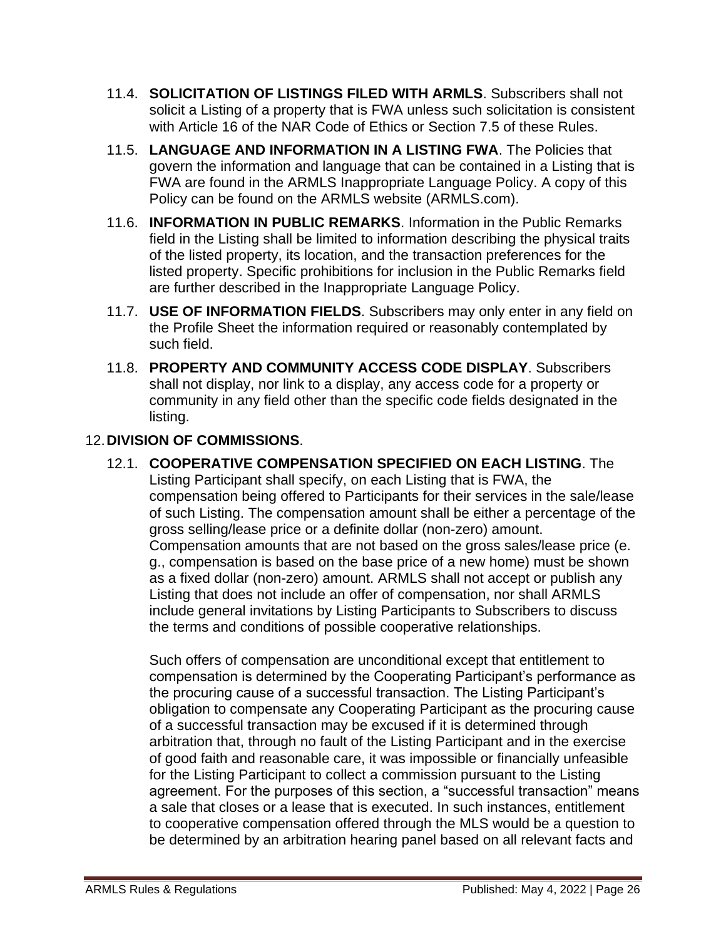- 11.4. **SOLICITATION OF LISTINGS FILED WITH ARMLS**. Subscribers shall not solicit a Listing of a property that is FWA unless such solicitation is consistent with Article 16 of the NAR Code of Ethics or Section 7.5 of these Rules.
- 11.5. **LANGUAGE AND INFORMATION IN A LISTING FWA**. The Policies that govern the information and language that can be contained in a Listing that is FWA are found in the ARMLS Inappropriate Language Policy. A copy of this Policy can be found on the ARMLS website (ARMLS.com).
- 11.6. **INFORMATION IN PUBLIC REMARKS**. Information in the Public Remarks field in the Listing shall be limited to information describing the physical traits of the listed property, its location, and the transaction preferences for the listed property. Specific prohibitions for inclusion in the Public Remarks field are further described in the Inappropriate Language Policy.
- 11.7. **USE OF INFORMATION FIELDS**. Subscribers may only enter in any field on the Profile Sheet the information required or reasonably contemplated by such field.
- 11.8. **PROPERTY AND COMMUNITY ACCESS CODE DISPLAY**. Subscribers shall not display, nor link to a display, any access code for a property or community in any field other than the specific code fields designated in the listing.

### 12.**DIVISION OF COMMISSIONS**.

12.1. **COOPERATIVE COMPENSATION SPECIFIED ON EACH LISTING**. The Listing Participant shall specify, on each Listing that is FWA, the compensation being offered to Participants for their services in the sale/lease of such Listing. The compensation amount shall be either a percentage of the gross selling/lease price or a definite dollar (non-zero) amount. Compensation amounts that are not based on the gross sales/lease price (e. g., compensation is based on the base price of a new home) must be shown as a fixed dollar (non-zero) amount. ARMLS shall not accept or publish any Listing that does not include an offer of compensation, nor shall ARMLS include general invitations by Listing Participants to Subscribers to discuss the terms and conditions of possible cooperative relationships.

Such offers of compensation are unconditional except that entitlement to compensation is determined by the Cooperating Participant's performance as the procuring cause of a successful transaction. The Listing Participant's obligation to compensate any Cooperating Participant as the procuring cause of a successful transaction may be excused if it is determined through arbitration that, through no fault of the Listing Participant and in the exercise of good faith and reasonable care, it was impossible or financially unfeasible for the Listing Participant to collect a commission pursuant to the Listing agreement. For the purposes of this section, a "successful transaction" means a sale that closes or a lease that is executed. In such instances, entitlement to cooperative compensation offered through the MLS would be a question to be determined by an arbitration hearing panel based on all relevant facts and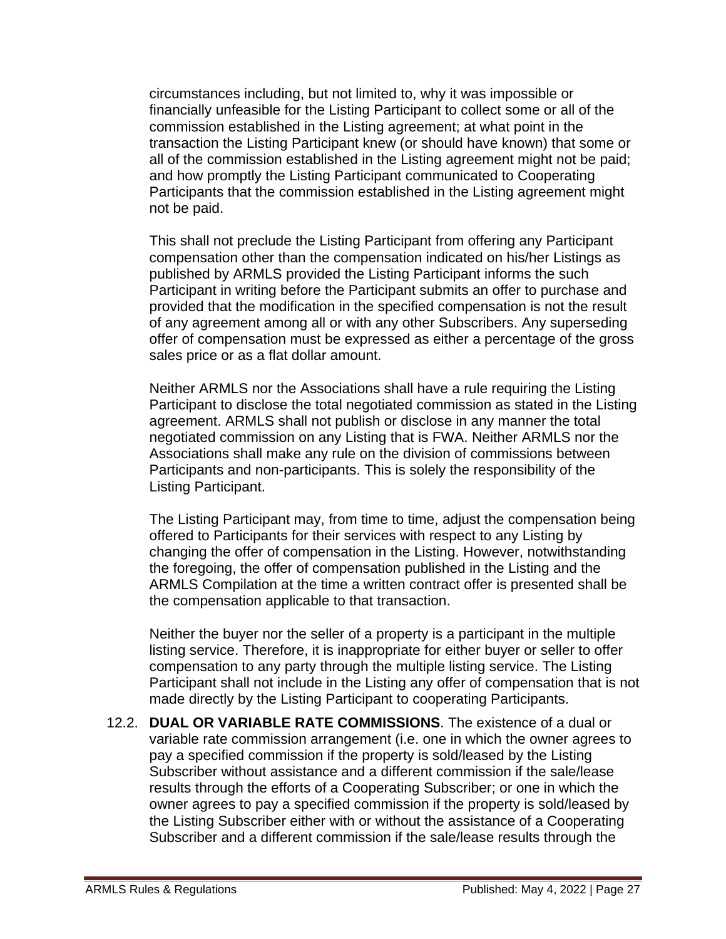circumstances including, but not limited to, why it was impossible or financially unfeasible for the Listing Participant to collect some or all of the commission established in the Listing agreement; at what point in the transaction the Listing Participant knew (or should have known) that some or all of the commission established in the Listing agreement might not be paid; and how promptly the Listing Participant communicated to Cooperating Participants that the commission established in the Listing agreement might not be paid.

This shall not preclude the Listing Participant from offering any Participant compensation other than the compensation indicated on his/her Listings as published by ARMLS provided the Listing Participant informs the such Participant in writing before the Participant submits an offer to purchase and provided that the modification in the specified compensation is not the result of any agreement among all or with any other Subscribers. Any superseding offer of compensation must be expressed as either a percentage of the gross sales price or as a flat dollar amount.

Neither ARMLS nor the Associations shall have a rule requiring the Listing Participant to disclose the total negotiated commission as stated in the Listing agreement. ARMLS shall not publish or disclose in any manner the total negotiated commission on any Listing that is FWA. Neither ARMLS nor the Associations shall make any rule on the division of commissions between Participants and non-participants. This is solely the responsibility of the Listing Participant.

The Listing Participant may, from time to time, adjust the compensation being offered to Participants for their services with respect to any Listing by changing the offer of compensation in the Listing. However, notwithstanding the foregoing, the offer of compensation published in the Listing and the ARMLS Compilation at the time a written contract offer is presented shall be the compensation applicable to that transaction.

Neither the buyer nor the seller of a property is a participant in the multiple listing service. Therefore, it is inappropriate for either buyer or seller to offer compensation to any party through the multiple listing service. The Listing Participant shall not include in the Listing any offer of compensation that is not made directly by the Listing Participant to cooperating Participants.

12.2. **DUAL OR VARIABLE RATE COMMISSIONS**. The existence of a dual or variable rate commission arrangement (i.e. one in which the owner agrees to pay a specified commission if the property is sold/leased by the Listing Subscriber without assistance and a different commission if the sale/lease results through the efforts of a Cooperating Subscriber; or one in which the owner agrees to pay a specified commission if the property is sold/leased by the Listing Subscriber either with or without the assistance of a Cooperating Subscriber and a different commission if the sale/lease results through the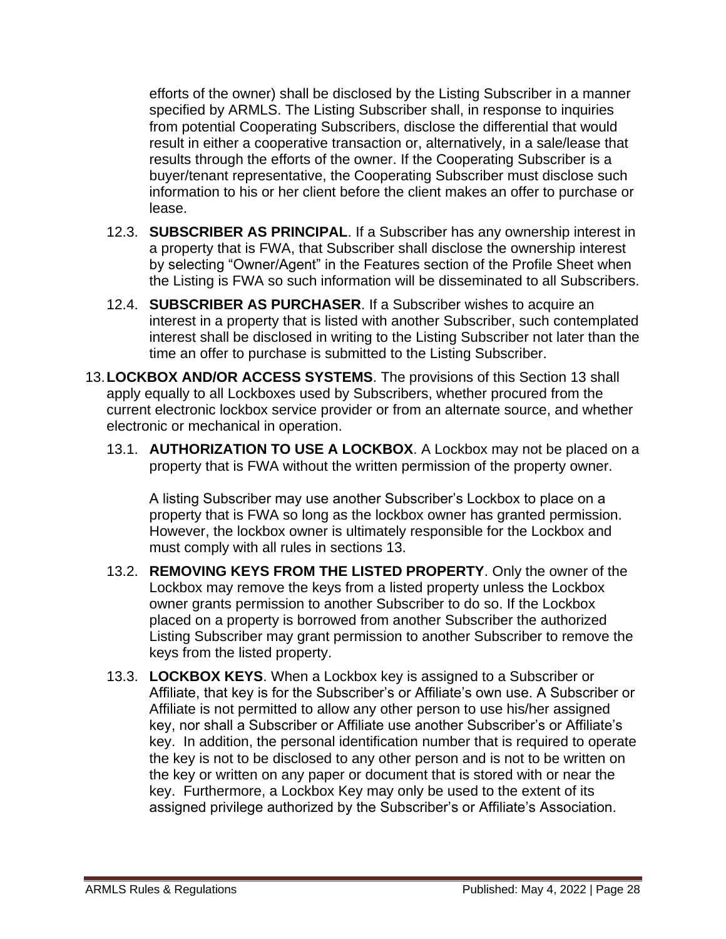efforts of the owner) shall be disclosed by the Listing Subscriber in a manner specified by ARMLS. The Listing Subscriber shall, in response to inquiries from potential Cooperating Subscribers, disclose the differential that would result in either a cooperative transaction or, alternatively, in a sale/lease that results through the efforts of the owner. If the Cooperating Subscriber is a buyer/tenant representative, the Cooperating Subscriber must disclose such information to his or her client before the client makes an offer to purchase or lease.

- 12.3. **SUBSCRIBER AS PRINCIPAL**. If a Subscriber has any ownership interest in a property that is FWA, that Subscriber shall disclose the ownership interest by selecting "Owner/Agent" in the Features section of the Profile Sheet when the Listing is FWA so such information will be disseminated to all Subscribers.
- 12.4. **SUBSCRIBER AS PURCHASER**. If a Subscriber wishes to acquire an interest in a property that is listed with another Subscriber, such contemplated interest shall be disclosed in writing to the Listing Subscriber not later than the time an offer to purchase is submitted to the Listing Subscriber.
- 13.**LOCKBOX AND/OR ACCESS SYSTEMS**. The provisions of this Section 13 shall apply equally to all Lockboxes used by Subscribers, whether procured from the current electronic lockbox service provider or from an alternate source, and whether electronic or mechanical in operation.
	- 13.1. **AUTHORIZATION TO USE A LOCKBOX**. A Lockbox may not be placed on a property that is FWA without the written permission of the property owner.

A listing Subscriber may use another Subscriber's Lockbox to place on a property that is FWA so long as the lockbox owner has granted permission. However, the lockbox owner is ultimately responsible for the Lockbox and must comply with all rules in sections 13.

- 13.2. **REMOVING KEYS FROM THE LISTED PROPERTY**. Only the owner of the Lockbox may remove the keys from a listed property unless the Lockbox owner grants permission to another Subscriber to do so. If the Lockbox placed on a property is borrowed from another Subscriber the authorized Listing Subscriber may grant permission to another Subscriber to remove the keys from the listed property.
- 13.3. **LOCKBOX KEYS**. When a Lockbox key is assigned to a Subscriber or Affiliate, that key is for the Subscriber's or Affiliate's own use. A Subscriber or Affiliate is not permitted to allow any other person to use his/her assigned key, nor shall a Subscriber or Affiliate use another Subscriber's or Affiliate's key. In addition, the personal identification number that is required to operate the key is not to be disclosed to any other person and is not to be written on the key or written on any paper or document that is stored with or near the key. Furthermore, a Lockbox Key may only be used to the extent of its assigned privilege authorized by the Subscriber's or Affiliate's Association.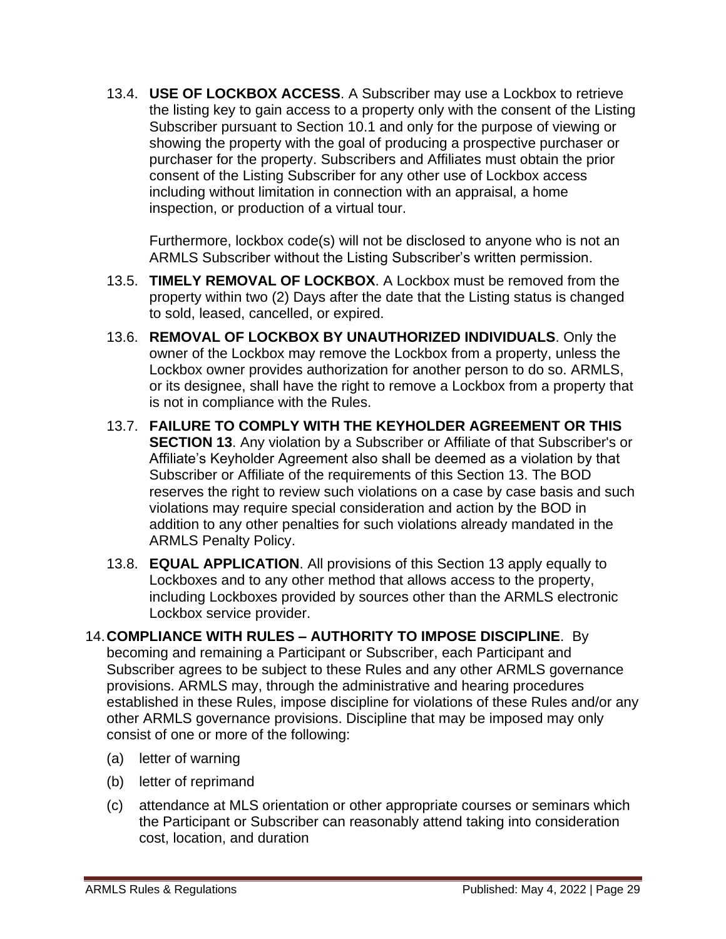13.4. **USE OF LOCKBOX ACCESS**. A Subscriber may use a Lockbox to retrieve the listing key to gain access to a property only with the consent of the Listing Subscriber pursuant to Section 10.1 and only for the purpose of viewing or showing the property with the goal of producing a prospective purchaser or purchaser for the property. Subscribers and Affiliates must obtain the prior consent of the Listing Subscriber for any other use of Lockbox access including without limitation in connection with an appraisal, a home inspection, or production of a virtual tour.

Furthermore, lockbox code(s) will not be disclosed to anyone who is not an ARMLS Subscriber without the Listing Subscriber's written permission.

- 13.5. **TIMELY REMOVAL OF LOCKBOX**. A Lockbox must be removed from the property within two (2) Days after the date that the Listing status is changed to sold, leased, cancelled, or expired.
- 13.6. **REMOVAL OF LOCKBOX BY UNAUTHORIZED INDIVIDUALS**. Only the owner of the Lockbox may remove the Lockbox from a property, unless the Lockbox owner provides authorization for another person to do so. ARMLS, or its designee, shall have the right to remove a Lockbox from a property that is not in compliance with the Rules.
- 13.7. **FAILURE TO COMPLY WITH THE KEYHOLDER AGREEMENT OR THIS SECTION 13**. Any violation by a Subscriber or Affiliate of that Subscriber's or Affiliate's Keyholder Agreement also shall be deemed as a violation by that Subscriber or Affiliate of the requirements of this Section 13. The BOD reserves the right to review such violations on a case by case basis and such violations may require special consideration and action by the BOD in addition to any other penalties for such violations already mandated in the ARMLS Penalty Policy.
- 13.8. **EQUAL APPLICATION**. All provisions of this Section 13 apply equally to Lockboxes and to any other method that allows access to the property, including Lockboxes provided by sources other than the ARMLS electronic Lockbox service provider.
- 14.**COMPLIANCE WITH RULES – AUTHORITY TO IMPOSE DISCIPLINE**. By becoming and remaining a Participant or Subscriber, each Participant and Subscriber agrees to be subject to these Rules and any other ARMLS governance provisions. ARMLS may, through the administrative and hearing procedures established in these Rules, impose discipline for violations of these Rules and/or any other ARMLS governance provisions. Discipline that may be imposed may only consist of one or more of the following:
	- (a) letter of warning
	- (b) letter of reprimand
	- (c) attendance at MLS orientation or other appropriate courses or seminars which the Participant or Subscriber can reasonably attend taking into consideration cost, location, and duration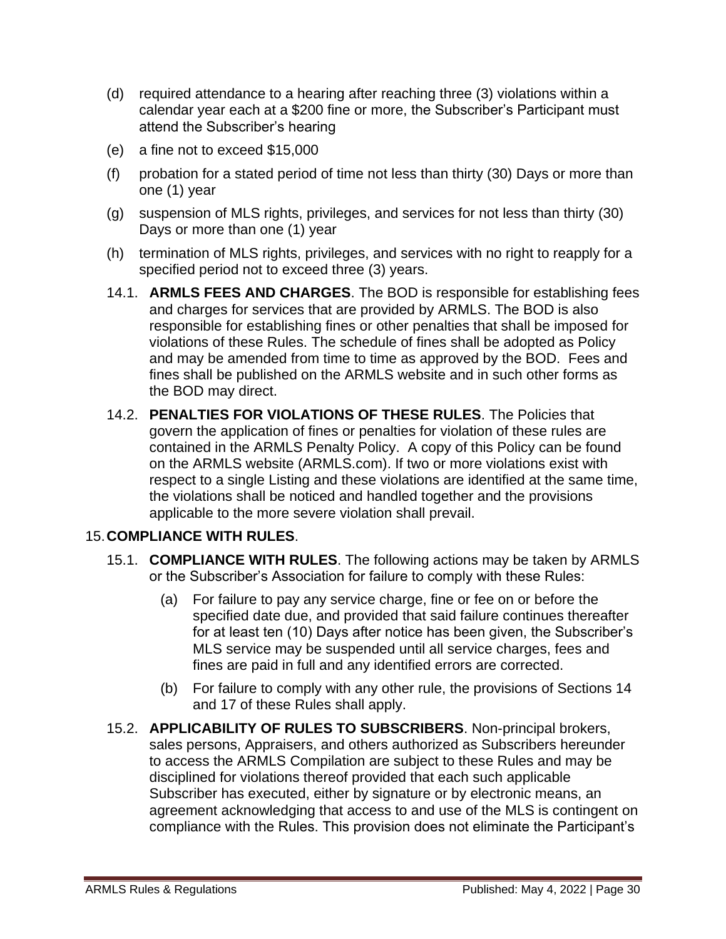- (d) required attendance to a hearing after reaching three (3) violations within a calendar year each at a \$200 fine or more, the Subscriber's Participant must attend the Subscriber's hearing
- (e) a fine not to exceed \$15,000
- (f) probation for a stated period of time not less than thirty (30) Days or more than one (1) year
- (g) suspension of MLS rights, privileges, and services for not less than thirty (30) Days or more than one (1) year
- (h) termination of MLS rights, privileges, and services with no right to reapply for a specified period not to exceed three (3) years.
- 14.1. **ARMLS FEES AND CHARGES**. The BOD is responsible for establishing fees and charges for services that are provided by ARMLS. The BOD is also responsible for establishing fines or other penalties that shall be imposed for violations of these Rules. The schedule of fines shall be adopted as Policy and may be amended from time to time as approved by the BOD. Fees and fines shall be published on the ARMLS website and in such other forms as the BOD may direct.
- 14.2. **PENALTIES FOR VIOLATIONS OF THESE RULES**. The Policies that govern the application of fines or penalties for violation of these rules are contained in the ARMLS Penalty Policy. A copy of this Policy can be found on the ARMLS website (ARMLS.com). If two or more violations exist with respect to a single Listing and these violations are identified at the same time, the violations shall be noticed and handled together and the provisions applicable to the more severe violation shall prevail.

#### 15.**COMPLIANCE WITH RULES**.

- 15.1. **COMPLIANCE WITH RULES**. The following actions may be taken by ARMLS or the Subscriber's Association for failure to comply with these Rules:
	- (a) For failure to pay any service charge, fine or fee on or before the specified date due, and provided that said failure continues thereafter for at least ten (10) Days after notice has been given, the Subscriber's MLS service may be suspended until all service charges, fees and fines are paid in full and any identified errors are corrected.
	- (b) For failure to comply with any other rule, the provisions of Sections 14 and 17 of these Rules shall apply.
- 15.2. **APPLICABILITY OF RULES TO SUBSCRIBERS**. Non-principal brokers, sales persons, Appraisers, and others authorized as Subscribers hereunder to access the ARMLS Compilation are subject to these Rules and may be disciplined for violations thereof provided that each such applicable Subscriber has executed, either by signature or by electronic means, an agreement acknowledging that access to and use of the MLS is contingent on compliance with the Rules. This provision does not eliminate the Participant's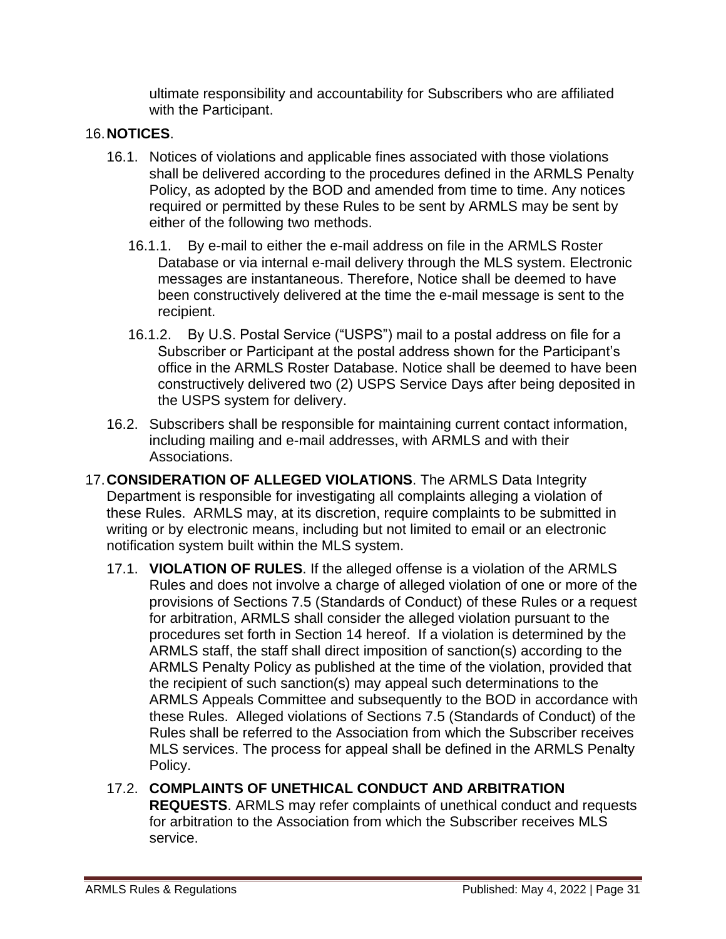ultimate responsibility and accountability for Subscribers who are affiliated with the Participant.

## 16.**NOTICES**.

- 16.1. Notices of violations and applicable fines associated with those violations shall be delivered according to the procedures defined in the ARMLS Penalty Policy, as adopted by the BOD and amended from time to time. Any notices required or permitted by these Rules to be sent by ARMLS may be sent by either of the following two methods.
	- 16.1.1. By e-mail to either the e-mail address on file in the ARMLS Roster Database or via internal e-mail delivery through the MLS system. Electronic messages are instantaneous. Therefore, Notice shall be deemed to have been constructively delivered at the time the e-mail message is sent to the recipient.
	- 16.1.2. By U.S. Postal Service ("USPS") mail to a postal address on file for a Subscriber or Participant at the postal address shown for the Participant's office in the ARMLS Roster Database. Notice shall be deemed to have been constructively delivered two (2) USPS Service Days after being deposited in the USPS system for delivery.
- 16.2. Subscribers shall be responsible for maintaining current contact information, including mailing and e-mail addresses, with ARMLS and with their Associations.
- 17.**CONSIDERATION OF ALLEGED VIOLATIONS**. The ARMLS Data Integrity Department is responsible for investigating all complaints alleging a violation of these Rules. ARMLS may, at its discretion, require complaints to be submitted in writing or by electronic means, including but not limited to email or an electronic notification system built within the MLS system.
	- 17.1. **VIOLATION OF RULES**. If the alleged offense is a violation of the ARMLS Rules and does not involve a charge of alleged violation of one or more of the provisions of Sections 7.5 (Standards of Conduct) of these Rules or a request for arbitration, ARMLS shall consider the alleged violation pursuant to the procedures set forth in Section 14 hereof. If a violation is determined by the ARMLS staff, the staff shall direct imposition of sanction(s) according to the ARMLS Penalty Policy as published at the time of the violation, provided that the recipient of such sanction(s) may appeal such determinations to the ARMLS Appeals Committee and subsequently to the BOD in accordance with these Rules. Alleged violations of Sections 7.5 (Standards of Conduct) of the Rules shall be referred to the Association from which the Subscriber receives MLS services. The process for appeal shall be defined in the ARMLS Penalty Policy.
	- 17.2. **COMPLAINTS OF UNETHICAL CONDUCT AND ARBITRATION REQUESTS**. ARMLS may refer complaints of unethical conduct and requests for arbitration to the Association from which the Subscriber receives MLS service.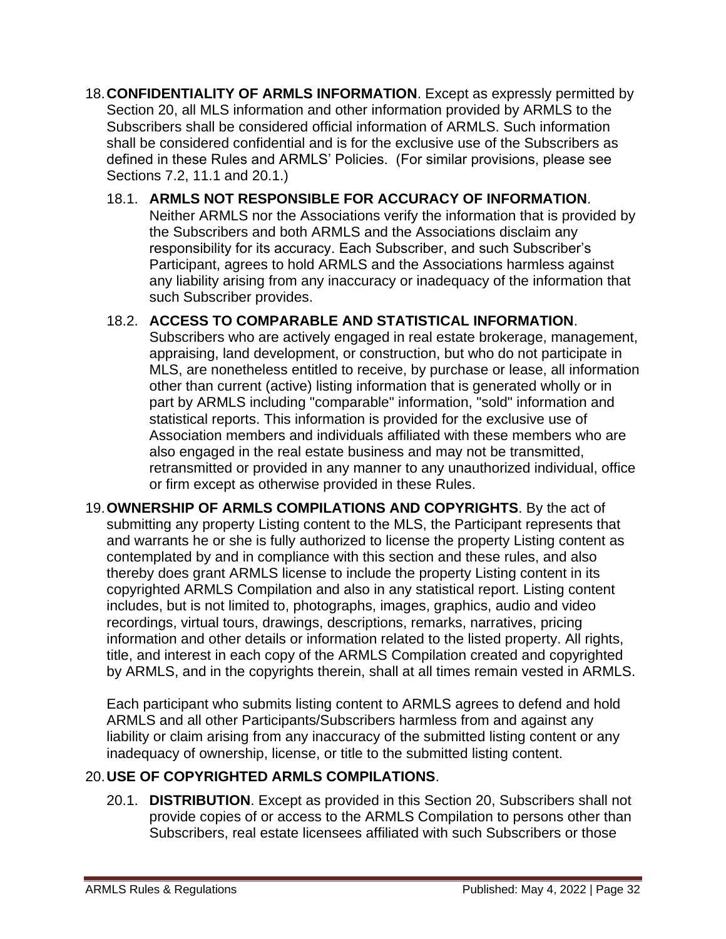- 18.**CONFIDENTIALITY OF ARMLS INFORMATION**. Except as expressly permitted by Section 20, all MLS information and other information provided by ARMLS to the Subscribers shall be considered official information of ARMLS. Such information shall be considered confidential and is for the exclusive use of the Subscribers as defined in these Rules and ARMLS' Policies. (For similar provisions, please see Sections 7.2, 11.1 and 20.1.)
	- 18.1. **ARMLS NOT RESPONSIBLE FOR ACCURACY OF INFORMATION**. Neither ARMLS nor the Associations verify the information that is provided by the Subscribers and both ARMLS and the Associations disclaim any responsibility for its accuracy. Each Subscriber, and such Subscriber's Participant, agrees to hold ARMLS and the Associations harmless against any liability arising from any inaccuracy or inadequacy of the information that such Subscriber provides.

#### 18.2. **ACCESS TO COMPARABLE AND STATISTICAL INFORMATION**.

Subscribers who are actively engaged in real estate brokerage, management, appraising, land development, or construction, but who do not participate in MLS, are nonetheless entitled to receive, by purchase or lease, all information other than current (active) listing information that is generated wholly or in part by ARMLS including "comparable" information, "sold" information and statistical reports. This information is provided for the exclusive use of Association members and individuals affiliated with these members who are also engaged in the real estate business and may not be transmitted, retransmitted or provided in any manner to any unauthorized individual, office or firm except as otherwise provided in these Rules.

19.**OWNERSHIP OF ARMLS COMPILATIONS AND COPYRIGHTS**. By the act of submitting any property Listing content to the MLS, the Participant represents that and warrants he or she is fully authorized to license the property Listing content as contemplated by and in compliance with this section and these rules, and also thereby does grant ARMLS license to include the property Listing content in its copyrighted ARMLS Compilation and also in any statistical report. Listing content includes, but is not limited to, photographs, images, graphics, audio and video recordings, virtual tours, drawings, descriptions, remarks, narratives, pricing information and other details or information related to the listed property. All rights, title, and interest in each copy of the ARMLS Compilation created and copyrighted by ARMLS, and in the copyrights therein, shall at all times remain vested in ARMLS.

Each participant who submits listing content to ARMLS agrees to defend and hold ARMLS and all other Participants/Subscribers harmless from and against any liability or claim arising from any inaccuracy of the submitted listing content or any inadequacy of ownership, license, or title to the submitted listing content.

# 20.**USE OF COPYRIGHTED ARMLS COMPILATIONS**.

20.1. **DISTRIBUTION**. Except as provided in this Section 20, Subscribers shall not provide copies of or access to the ARMLS Compilation to persons other than Subscribers, real estate licensees affiliated with such Subscribers or those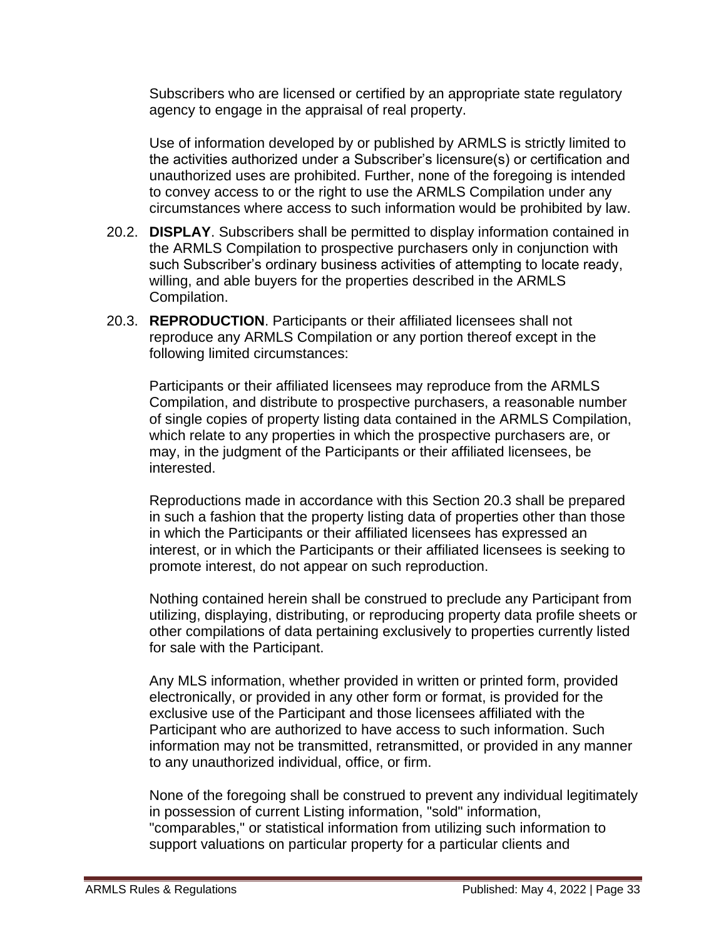Subscribers who are licensed or certified by an appropriate state regulatory agency to engage in the appraisal of real property.

Use of information developed by or published by ARMLS is strictly limited to the activities authorized under a Subscriber's licensure(s) or certification and unauthorized uses are prohibited. Further, none of the foregoing is intended to convey access to or the right to use the ARMLS Compilation under any circumstances where access to such information would be prohibited by law.

- 20.2. **DISPLAY**. Subscribers shall be permitted to display information contained in the ARMLS Compilation to prospective purchasers only in conjunction with such Subscriber's ordinary business activities of attempting to locate ready, willing, and able buyers for the properties described in the ARMLS Compilation.
- 20.3. **REPRODUCTION**. Participants or their affiliated licensees shall not reproduce any ARMLS Compilation or any portion thereof except in the following limited circumstances:

Participants or their affiliated licensees may reproduce from the ARMLS Compilation, and distribute to prospective purchasers, a reasonable number of single copies of property listing data contained in the ARMLS Compilation, which relate to any properties in which the prospective purchasers are, or may, in the judgment of the Participants or their affiliated licensees, be interested.

Reproductions made in accordance with this Section 20.3 shall be prepared in such a fashion that the property listing data of properties other than those in which the Participants or their affiliated licensees has expressed an interest, or in which the Participants or their affiliated licensees is seeking to promote interest, do not appear on such reproduction.

Nothing contained herein shall be construed to preclude any Participant from utilizing, displaying, distributing, or reproducing property data profile sheets or other compilations of data pertaining exclusively to properties currently listed for sale with the Participant.

Any MLS information, whether provided in written or printed form, provided electronically, or provided in any other form or format, is provided for the exclusive use of the Participant and those licensees affiliated with the Participant who are authorized to have access to such information. Such information may not be transmitted, retransmitted, or provided in any manner to any unauthorized individual, office, or firm.

None of the foregoing shall be construed to prevent any individual legitimately in possession of current Listing information, "sold" information, "comparables," or statistical information from utilizing such information to support valuations on particular property for a particular clients and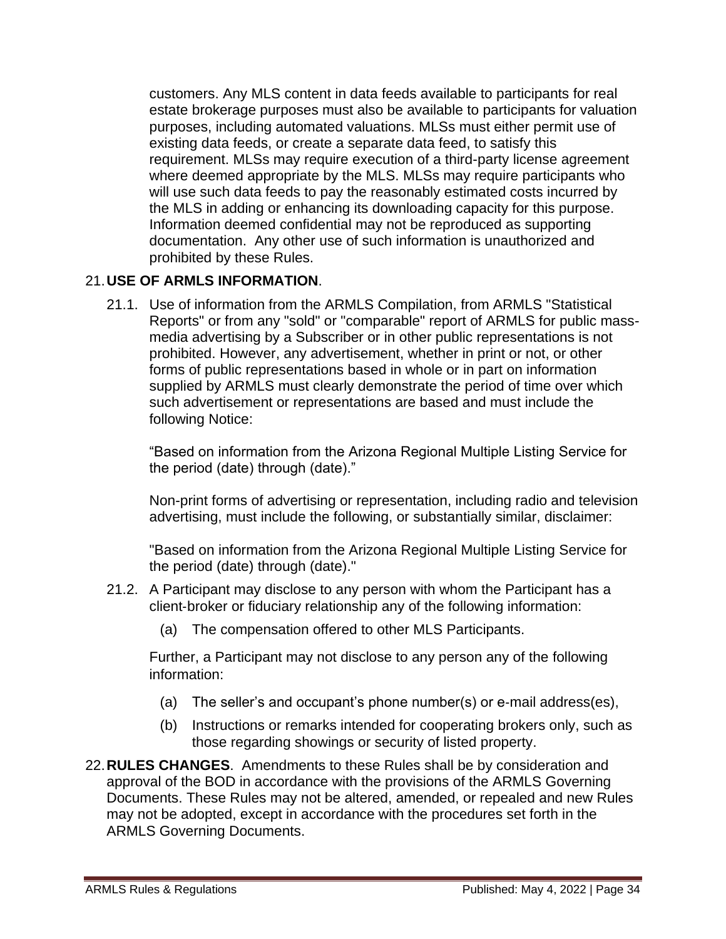customers. Any MLS content in data feeds available to participants for real estate brokerage purposes must also be available to participants for valuation purposes, including automated valuations. MLSs must either permit use of existing data feeds, or create a separate data feed, to satisfy this requirement. MLSs may require execution of a third-party license agreement where deemed appropriate by the MLS. MLSs may require participants who will use such data feeds to pay the reasonably estimated costs incurred by the MLS in adding or enhancing its downloading capacity for this purpose. Information deemed confidential may not be reproduced as supporting documentation. Any other use of such information is unauthorized and prohibited by these Rules.

### 21.**USE OF ARMLS INFORMATION**.

21.1. Use of information from the ARMLS Compilation, from ARMLS "Statistical Reports" or from any "sold" or "comparable" report of ARMLS for public massmedia advertising by a Subscriber or in other public representations is not prohibited. However, any advertisement, whether in print or not, or other forms of public representations based in whole or in part on information supplied by ARMLS must clearly demonstrate the period of time over which such advertisement or representations are based and must include the following Notice:

"Based on information from the Arizona Regional Multiple Listing Service for the period (date) through (date)."

Non-print forms of advertising or representation, including radio and television advertising, must include the following, or substantially similar, disclaimer:

"Based on information from the Arizona Regional Multiple Listing Service for the period (date) through (date)."

- 21.2. A Participant may disclose to any person with whom the Participant has a client‐broker or fiduciary relationship any of the following information:
	- (a) The compensation offered to other MLS Participants.

Further, a Participant may not disclose to any person any of the following information:

- (a) The seller's and occupant's phone number(s) or e‐mail address(es),
- (b) Instructions or remarks intended for cooperating brokers only, such as those regarding showings or security of listed property.
- 22.**RULES CHANGES**. Amendments to these Rules shall be by consideration and approval of the BOD in accordance with the provisions of the ARMLS Governing Documents. These Rules may not be altered, amended, or repealed and new Rules may not be adopted, except in accordance with the procedures set forth in the ARMLS Governing Documents.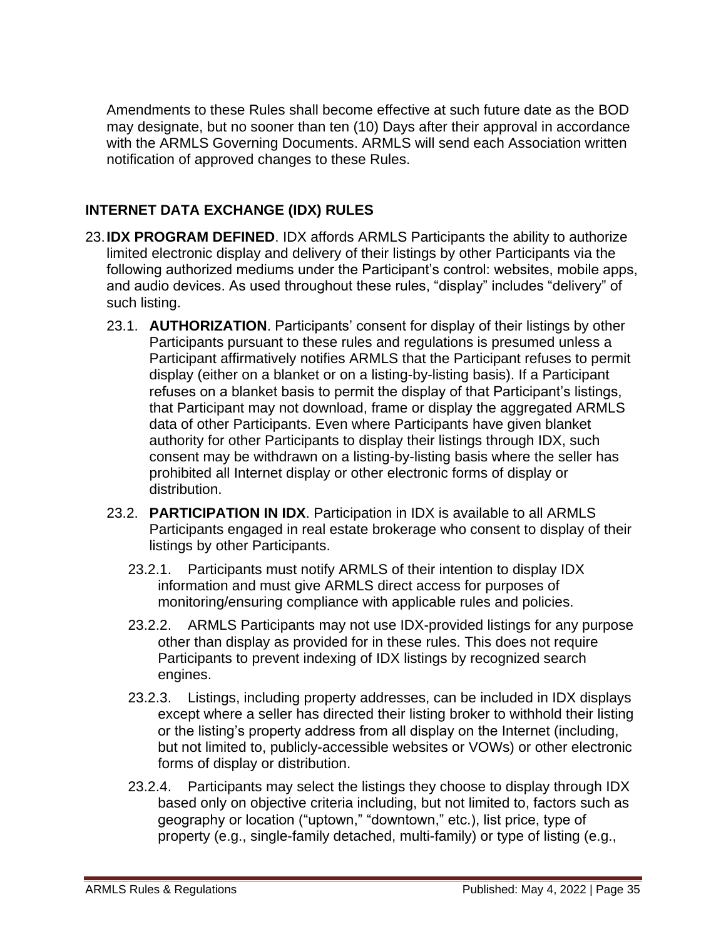Amendments to these Rules shall become effective at such future date as the BOD may designate, but no sooner than ten (10) Days after their approval in accordance with the ARMLS Governing Documents. ARMLS will send each Association written notification of approved changes to these Rules.

# **INTERNET DATA EXCHANGE (IDX) RULES**

- 23.**IDX PROGRAM DEFINED**. IDX affords ARMLS Participants the ability to authorize limited electronic display and delivery of their listings by other Participants via the following authorized mediums under the Participant's control: websites, mobile apps, and audio devices. As used throughout these rules, "display" includes "delivery" of such listing.
	- 23.1. **AUTHORIZATION**. Participants' consent for display of their listings by other Participants pursuant to these rules and regulations is presumed unless a Participant affirmatively notifies ARMLS that the Participant refuses to permit display (either on a blanket or on a listing-by-listing basis). If a Participant refuses on a blanket basis to permit the display of that Participant's listings, that Participant may not download, frame or display the aggregated ARMLS data of other Participants. Even where Participants have given blanket authority for other Participants to display their listings through IDX, such consent may be withdrawn on a listing-by-listing basis where the seller has prohibited all Internet display or other electronic forms of display or distribution.
	- 23.2. **PARTICIPATION IN IDX**. Participation in IDX is available to all ARMLS Participants engaged in real estate brokerage who consent to display of their listings by other Participants.
		- 23.2.1. Participants must notify ARMLS of their intention to display IDX information and must give ARMLS direct access for purposes of monitoring/ensuring compliance with applicable rules and policies.
		- 23.2.2. ARMLS Participants may not use IDX-provided listings for any purpose other than display as provided for in these rules. This does not require Participants to prevent indexing of IDX listings by recognized search engines.
		- 23.2.3. Listings, including property addresses, can be included in IDX displays except where a seller has directed their listing broker to withhold their listing or the listing's property address from all display on the Internet (including, but not limited to, publicly-accessible websites or VOWs) or other electronic forms of display or distribution.
		- 23.2.4. Participants may select the listings they choose to display through IDX based only on objective criteria including, but not limited to, factors such as geography or location ("uptown," "downtown," etc.), list price, type of property (e.g., single-family detached, multi-family) or type of listing (e.g.,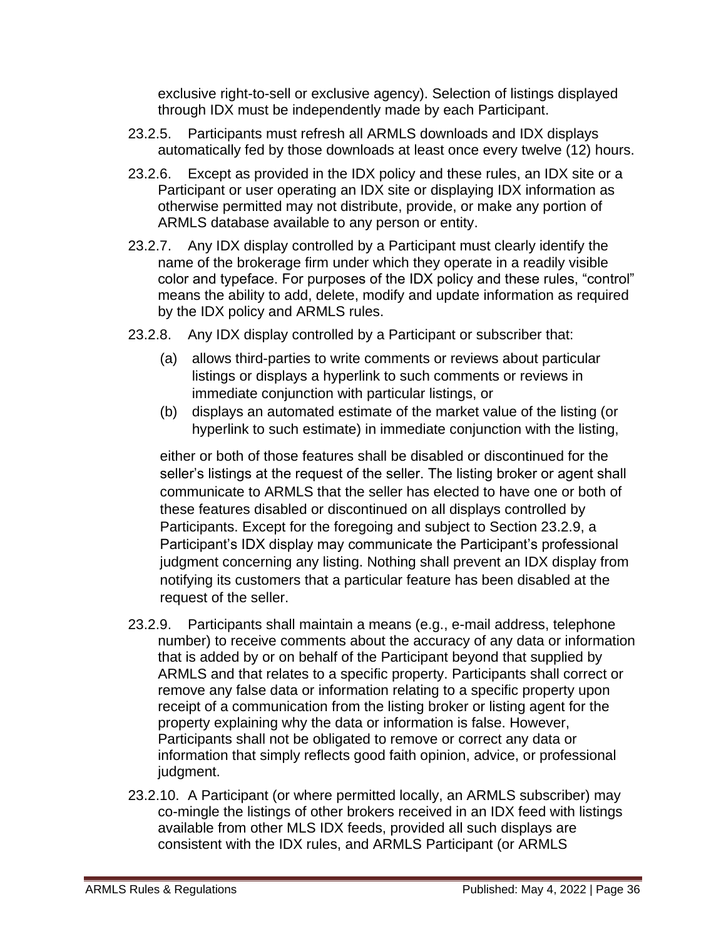exclusive right-to-sell or exclusive agency). Selection of listings displayed through IDX must be independently made by each Participant.

- 23.2.5. Participants must refresh all ARMLS downloads and IDX displays automatically fed by those downloads at least once every twelve (12) hours.
- 23.2.6. Except as provided in the IDX policy and these rules, an IDX site or a Participant or user operating an IDX site or displaying IDX information as otherwise permitted may not distribute, provide, or make any portion of ARMLS database available to any person or entity.
- 23.2.7. Any IDX display controlled by a Participant must clearly identify the name of the brokerage firm under which they operate in a readily visible color and typeface. For purposes of the IDX policy and these rules, "control" means the ability to add, delete, modify and update information as required by the IDX policy and ARMLS rules.
- 23.2.8. Any IDX display controlled by a Participant or subscriber that:
	- (a) allows third-parties to write comments or reviews about particular listings or displays a hyperlink to such comments or reviews in immediate conjunction with particular listings, or
	- (b) displays an automated estimate of the market value of the listing (or hyperlink to such estimate) in immediate conjunction with the listing,

either or both of those features shall be disabled or discontinued for the seller's listings at the request of the seller. The listing broker or agent shall communicate to ARMLS that the seller has elected to have one or both of these features disabled or discontinued on all displays controlled by Participants. Except for the foregoing and subject to Section 23.2.9, a Participant's IDX display may communicate the Participant's professional judgment concerning any listing. Nothing shall prevent an IDX display from notifying its customers that a particular feature has been disabled at the request of the seller.

- 23.2.9. Participants shall maintain a means (e.g., e-mail address, telephone number) to receive comments about the accuracy of any data or information that is added by or on behalf of the Participant beyond that supplied by ARMLS and that relates to a specific property. Participants shall correct or remove any false data or information relating to a specific property upon receipt of a communication from the listing broker or listing agent for the property explaining why the data or information is false. However, Participants shall not be obligated to remove or correct any data or information that simply reflects good faith opinion, advice, or professional judgment.
- 23.2.10. A Participant (or where permitted locally, an ARMLS subscriber) may co-mingle the listings of other brokers received in an IDX feed with listings available from other MLS IDX feeds, provided all such displays are consistent with the IDX rules, and ARMLS Participant (or ARMLS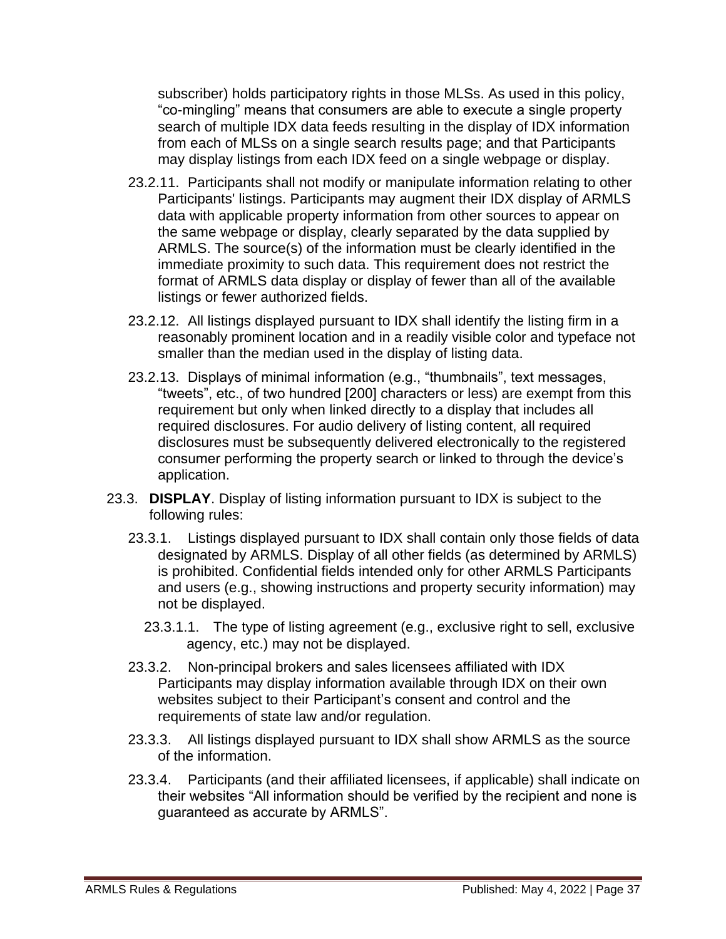subscriber) holds participatory rights in those MLSs. As used in this policy, "co-mingling" means that consumers are able to execute a single property search of multiple IDX data feeds resulting in the display of IDX information from each of MLSs on a single search results page; and that Participants may display listings from each IDX feed on a single webpage or display.

- 23.2.11. Participants shall not modify or manipulate information relating to other Participants' listings. Participants may augment their IDX display of ARMLS data with applicable property information from other sources to appear on the same webpage or display, clearly separated by the data supplied by ARMLS. The source(s) of the information must be clearly identified in the immediate proximity to such data. This requirement does not restrict the format of ARMLS data display or display of fewer than all of the available listings or fewer authorized fields.
- 23.2.12. All listings displayed pursuant to IDX shall identify the listing firm in a reasonably prominent location and in a readily visible color and typeface not smaller than the median used in the display of listing data.
- 23.2.13. Displays of minimal information (e.g., "thumbnails", text messages, "tweets", etc., of two hundred [200] characters or less) are exempt from this requirement but only when linked directly to a display that includes all required disclosures. For audio delivery of listing content, all required disclosures must be subsequently delivered electronically to the registered consumer performing the property search or linked to through the device's application.
- 23.3. **DISPLAY**. Display of listing information pursuant to IDX is subject to the following rules:
	- 23.3.1. Listings displayed pursuant to IDX shall contain only those fields of data designated by ARMLS. Display of all other fields (as determined by ARMLS) is prohibited. Confidential fields intended only for other ARMLS Participants and users (e.g., showing instructions and property security information) may not be displayed.
		- 23.3.1.1. The type of listing agreement (e.g., exclusive right to sell, exclusive agency, etc.) may not be displayed.
	- 23.3.2. Non-principal brokers and sales licensees affiliated with IDX Participants may display information available through IDX on their own websites subject to their Participant's consent and control and the requirements of state law and/or regulation.
	- 23.3.3. All listings displayed pursuant to IDX shall show ARMLS as the source of the information.
	- 23.3.4. Participants (and their affiliated licensees, if applicable) shall indicate on their websites "All information should be verified by the recipient and none is guaranteed as accurate by ARMLS".